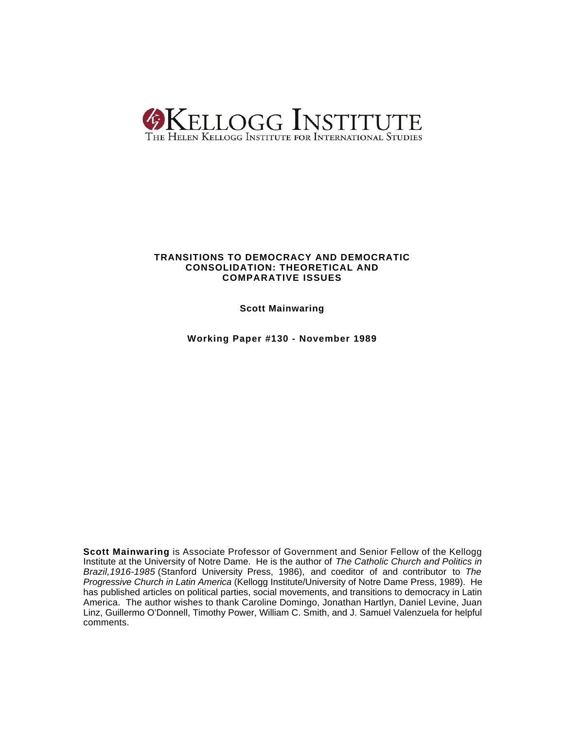

## **TRANSITIONS TO DEMOCRACY AND DEMOCRATIC CONSOLIDATION: THEORETICAL AND COMPARATIVE ISSUES**

**Scott Mainwaring**

**Working Paper #130 - November 1989**

**Scott Mainwaring** is Associate Professor of Government and Senior Fellow of the Kellogg Institute at the University of Notre Dame. He is the author of *The Catholic Church and Politics in Brazil,1916-1985* (Stanford University Press, 1986), and coeditor of and contributor to *The Progressive Church in Latin America* (Kellogg Institute/University of Notre Dame Press, 1989). He has published articles on political parties, social movements, and transitions to democracy in Latin America. The author wishes to thank Caroline Domingo, Jonathan Hartlyn, Daniel Levine, Juan Linz, Guillermo O'Donnell, Timothy Power, William C. Smith, and J. Samuel Valenzuela for helpful comments.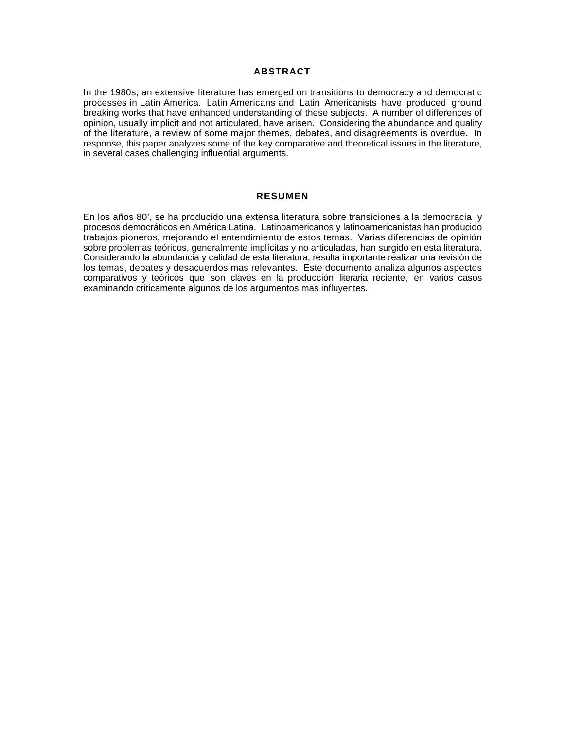# **ABSTRACT**

In the 1980s, an extensive literature has emerged on transitions to democracy and democratic processes in Latin America. Latin Americans and Latin Americanists have produced ground breaking works that have enhanced understanding of these subjects. A number of differences of opinion, usually implicit and not articulated, have arisen. Considering the abundance and quality of the literature, a review of some major themes, debates, and disagreements is overdue. In response, this paper analyzes some of the key comparative and theoretical issues in the literature, in several cases challenging influential arguments.

#### **RESUMEN**

En los años 80', se ha producido una extensa literatura sobre transiciones a la democracia y procesos democráticos en América Latina. Latinoamericanos y latinoamericanistas han producido trabajos pioneros, mejorando el entendimiento de estos temas. Varias diferencias de opinión sobre problemas teóricos, generalmente implícitas y no articuladas, han surgido en esta literatura. Considerando la abundancia y calidad de esta literatura, resulta importante realizar una revisión de los temas, debates y desacuerdos mas relevantes. Este documento analiza algunos aspectos comparativos y teóricos que son claves en la producción literaria reciente, en varios casos examinando criticamente algunos de los argumentos mas influyentes.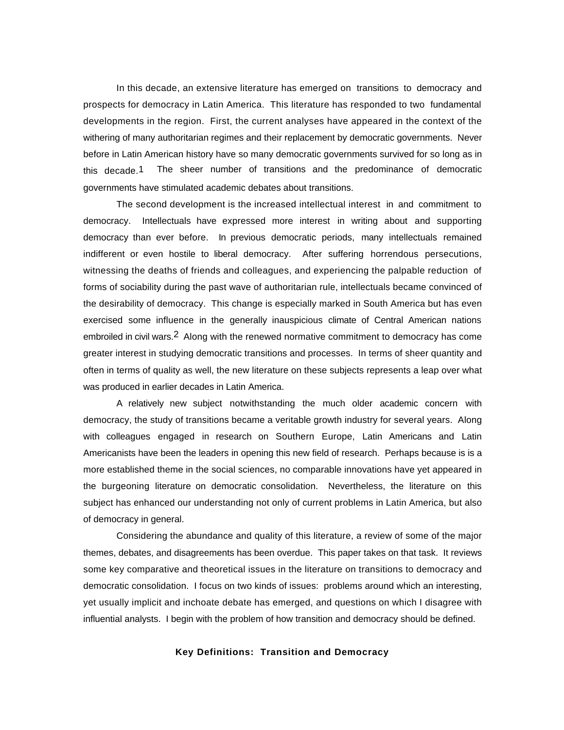In this decade, an extensive literature has emerged on transitions to democracy and prospects for democracy in Latin America. This literature has responded to two fundamental developments in the region. First, the current analyses have appeared in the context of the withering of many authoritarian regimes and their replacement by democratic governments. Never before in Latin American history have so many democratic governments survived for so long as in this decade.1 The sheer number of transitions and the predominance of democratic governments have stimulated academic debates about transitions.

The second development is the increased intellectual interest in and commitment to democracy. Intellectuals have expressed more interest in writing about and supporting democracy than ever before. In previous democratic periods, many intellectuals remained indifferent or even hostile to liberal democracy. After suffering horrendous persecutions, witnessing the deaths of friends and colleagues, and experiencing the palpable reduction of forms of sociability during the past wave of authoritarian rule, intellectuals became convinced of the desirability of democracy. This change is especially marked in South America but has even exercised some influence in the generally inauspicious climate of Central American nations embroiled in civil wars.<sup>2</sup> Along with the renewed normative commitment to democracy has come greater interest in studying democratic transitions and processes. In terms of sheer quantity and often in terms of quality as well, the new literature on these subjects represents a leap over what was produced in earlier decades in Latin America.

A relatively new subject notwithstanding the much older academic concern with democracy, the study of transitions became a veritable growth industry for several years. Along with colleagues engaged in research on Southern Europe, Latin Americans and Latin Americanists have been the leaders in opening this new field of research. Perhaps because is is a more established theme in the social sciences, no comparable innovations have yet appeared in the burgeoning literature on democratic consolidation. Nevertheless, the literature on this subject has enhanced our understanding not only of current problems in Latin America, but also of democracy in general.

Considering the abundance and quality of this literature, a review of some of the major themes, debates, and disagreements has been overdue. This paper takes on that task. It reviews some key comparative and theoretical issues in the literature on transitions to democracy and democratic consolidation. I focus on two kinds of issues: problems around which an interesting, yet usually implicit and inchoate debate has emerged, and questions on which I disagree with influential analysts. I begin with the problem of how transition and democracy should be defined.

# **Key Definitions: Transition and Democracy**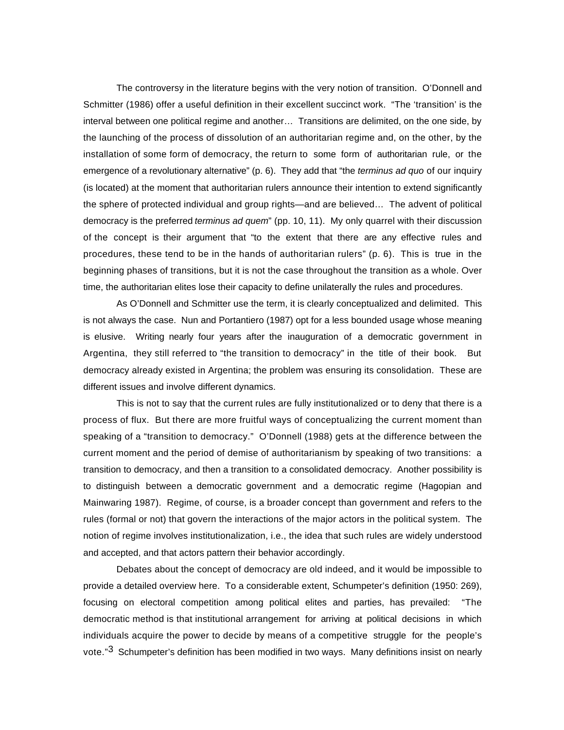The controversy in the literature begins with the very notion of transition. O'Donnell and Schmitter (1986) offer a useful definition in their excellent succinct work. "The 'transition' is the interval between one political regime and another… Transitions are delimited, on the one side, by the launching of the process of dissolution of an authoritarian regime and, on the other, by the installation of some form of democracy, the return to some form of authoritarian rule, or the emergence of a revolutionary alternative" (p. 6). They add that "the *terminus ad quo* of our inquiry (is located) at the moment that authoritarian rulers announce their intention to extend significantly the sphere of protected individual and group rights—and are believed… The advent of political democracy is the preferred *terminus ad quem*" (pp. 10, 11). My only quarrel with their discussion of the concept is their argument that "to the extent that there are any effective rules and procedures, these tend to be in the hands of authoritarian rulers" (p. 6). This is true in the beginning phases of transitions, but it is not the case throughout the transition as a whole. Over time, the authoritarian elites lose their capacity to define unilaterally the rules and procedures.

As O'Donnell and Schmitter use the term, it is clearly conceptualized and delimited. This is not always the case. Nun and Portantiero (1987) opt for a less bounded usage whose meaning is elusive. Writing nearly four years after the inauguration of a democratic government in Argentina, they still referred to "the transition to democracy" in the title of their book. But democracy already existed in Argentina; the problem was ensuring its consolidation. These are different issues and involve different dynamics.

This is not to say that the current rules are fully institutionalized or to deny that there is a process of flux. But there are more fruitful ways of conceptualizing the current moment than speaking of a "transition to democracy." O'Donnell (1988) gets at the difference between the current moment and the period of demise of authoritarianism by speaking of two transitions: a transition to democracy, and then a transition to a consolidated democracy. Another possibility is to distinguish between a democratic government and a democratic regime (Hagopian and Mainwaring 1987). Regime, of course, is a broader concept than government and refers to the rules (formal or not) that govern the interactions of the major actors in the political system. The notion of regime involves institutionalization, i.e., the idea that such rules are widely understood and accepted, and that actors pattern their behavior accordingly.

Debates about the concept of democracy are old indeed, and it would be impossible to provide a detailed overview here. To a considerable extent, Schumpeter's definition (1950: 269), focusing on electoral competition among political elites and parties, has prevailed: "The democratic method is that institutional arrangement for arriving at political decisions in which individuals acquire the power to decide by means of a competitive struggle for the people's vote."<sup>3</sup> Schumpeter's definition has been modified in two ways. Many definitions insist on nearly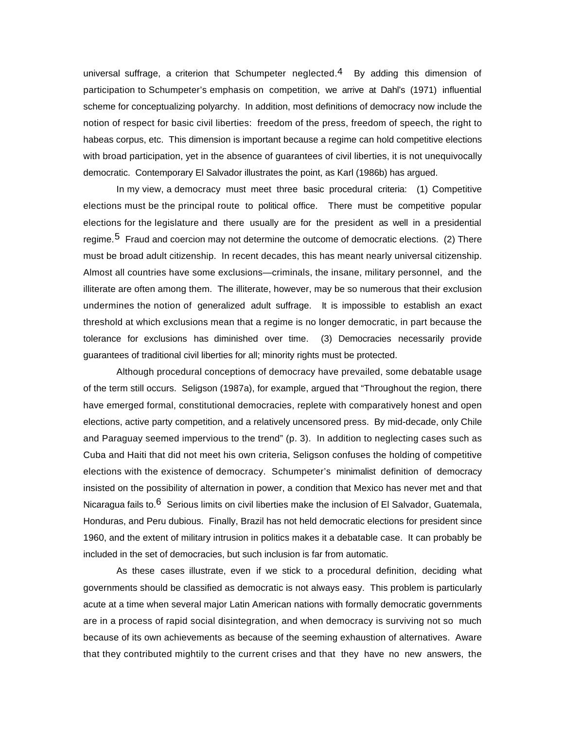universal suffrage, a criterion that Schumpeter neglected.4 By adding this dimension of participation to Schumpeter's emphasis on competition, we arrive at Dahl's (1971) influential scheme for conceptualizing polyarchy. In addition, most definitions of democracy now include the notion of respect for basic civil liberties: freedom of the press, freedom of speech, the right to habeas corpus, etc. This dimension is important because a regime can hold competitive elections with broad participation, yet in the absence of guarantees of civil liberties, it is not unequivocally democratic. Contemporary El Salvador illustrates the point, as Karl (1986b) has argued.

In my view, a democracy must meet three basic procedural criteria: (1) Competitive elections must be the principal route to political office. There must be competitive popular elections for the legislature and there usually are for the president as well in a presidential regime.<sup>5</sup> Fraud and coercion may not determine the outcome of democratic elections. (2) There must be broad adult citizenship. In recent decades, this has meant nearly universal citizenship. Almost all countries have some exclusions—criminals, the insane, military personnel, and the illiterate are often among them. The illiterate, however, may be so numerous that their exclusion undermines the notion of generalized adult suffrage. It is impossible to establish an exact threshold at which exclusions mean that a regime is no longer democratic, in part because the tolerance for exclusions has diminished over time. (3) Democracies necessarily provide guarantees of traditional civil liberties for all; minority rights must be protected.

Although procedural conceptions of democracy have prevailed, some debatable usage of the term still occurs. Seligson (1987a), for example, argued that "Throughout the region, there have emerged formal, constitutional democracies, replete with comparatively honest and open elections, active party competition, and a relatively uncensored press. By mid-decade, only Chile and Paraguay seemed impervious to the trend" (p. 3). In addition to neglecting cases such as Cuba and Haiti that did not meet his own criteria, Seligson confuses the holding of competitive elections with the existence of democracy. Schumpeter's minimalist definition of democracy insisted on the possibility of alternation in power, a condition that Mexico has never met and that Nicaragua fails to.<sup>6</sup> Serious limits on civil liberties make the inclusion of El Salvador, Guatemala, Honduras, and Peru dubious. Finally, Brazil has not held democratic elections for president since 1960, and the extent of military intrusion in politics makes it a debatable case. It can probably be included in the set of democracies, but such inclusion is far from automatic.

As these cases illustrate, even if we stick to a procedural definition, deciding what governments should be classified as democratic is not always easy. This problem is particularly acute at a time when several major Latin American nations with formally democratic governments are in a process of rapid social disintegration, and when democracy is surviving not so much because of its own achievements as because of the seeming exhaustion of alternatives. Aware that they contributed mightily to the current crises and that they have no new answers, the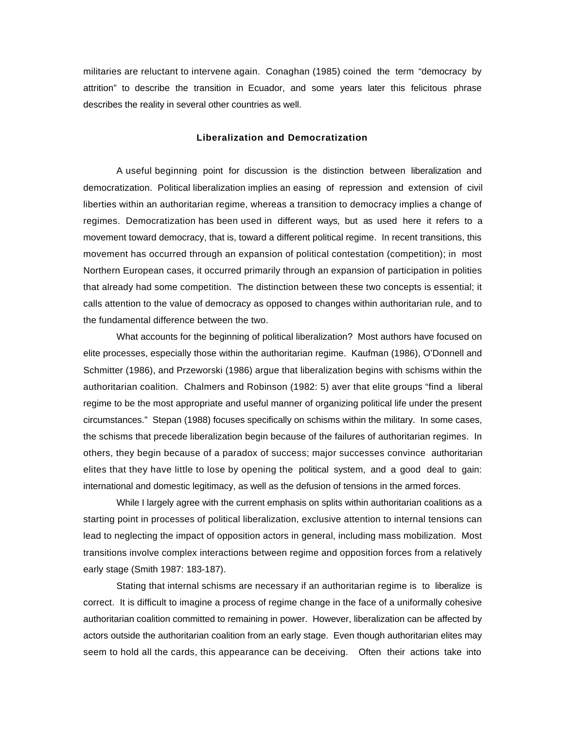militaries are reluctant to intervene again. Conaghan (1985) coined the term "democracy by attrition" to describe the transition in Ecuador, and some years later this felicitous phrase describes the reality in several other countries as well.

#### **Liberalization and Democratization**

A useful beginning point for discussion is the distinction between liberalization and democratization. Political liberalization implies an easing of repression and extension of civil liberties within an authoritarian regime, whereas a transition to democracy implies a change of regimes. Democratization has been used in different ways, but as used here it refers to a movement toward democracy, that is, toward a different political regime. In recent transitions, this movement has occurred through an expansion of political contestation (competition); in most Northern European cases, it occurred primarily through an expansion of participation in polities that already had some competition. The distinction between these two concepts is essential; it calls attention to the value of democracy as opposed to changes within authoritarian rule, and to the fundamental difference between the two.

 What accounts for the beginning of political liberalization? Most authors have focused on elite processes, especially those within the authoritarian regime. Kaufman (1986), O'Donnell and Schmitter (1986), and Przeworski (1986) argue that liberalization begins with schisms within the authoritarian coalition. Chalmers and Robinson (1982: 5) aver that elite groups "find a liberal regime to be the most appropriate and useful manner of organizing political life under the present circumstances." Stepan (1988) focuses specifically on schisms within the military. In some cases, the schisms that precede liberalization begin because of the failures of authoritarian regimes. In others, they begin because of a paradox of success; major successes convince authoritarian elites that they have little to lose by opening the political system, and a good deal to gain: international and domestic legitimacy, as well as the defusion of tensions in the armed forces.

While I largely agree with the current emphasis on splits within authoritarian coalitions as a starting point in processes of political liberalization, exclusive attention to internal tensions can lead to neglecting the impact of opposition actors in general, including mass mobilization. Most transitions involve complex interactions between regime and opposition forces from a relatively early stage (Smith 1987: 183-187).

Stating that internal schisms are necessary if an authoritarian regime is to liberalize is correct. It is difficult to imagine a process of regime change in the face of a uniformally cohesive authoritarian coalition committed to remaining in power. However, liberalization can be affected by actors outside the authoritarian coalition from an early stage. Even though authoritarian elites may seem to hold all the cards, this appearance can be deceiving. Often their actions take into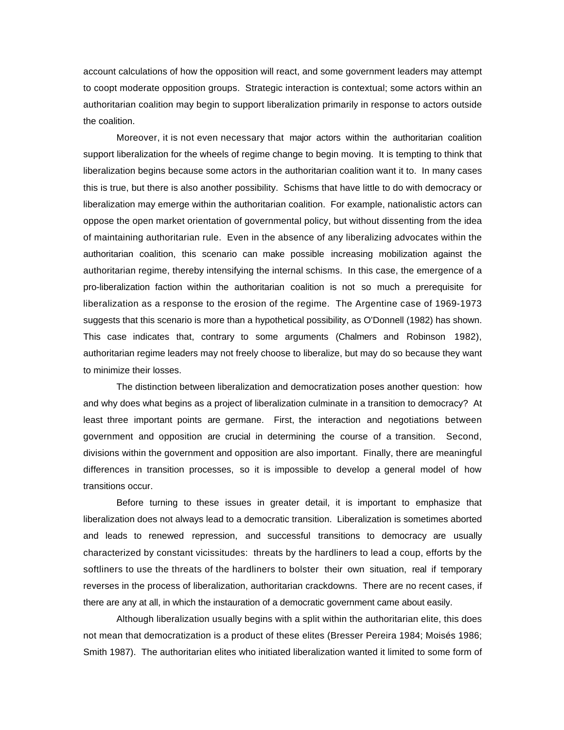account calculations of how the opposition will react, and some government leaders may attempt to coopt moderate opposition groups. Strategic interaction is contextual; some actors within an authoritarian coalition may begin to support liberalization primarily in response to actors outside the coalition.

Moreover, it is not even necessary that major actors within the authoritarian coalition support liberalization for the wheels of regime change to begin moving. It is tempting to think that liberalization begins because some actors in the authoritarian coalition want it to. In many cases this is true, but there is also another possibility. Schisms that have little to do with democracy or liberalization may emerge within the authoritarian coalition. For example, nationalistic actors can oppose the open market orientation of governmental policy, but without dissenting from the idea of maintaining authoritarian rule. Even in the absence of any liberalizing advocates within the authoritarian coalition, this scenario can make possible increasing mobilization against the authoritarian regime, thereby intensifying the internal schisms. In this case, the emergence of a pro-liberalization faction within the authoritarian coalition is not so much a prerequisite for liberalization as a response to the erosion of the regime. The Argentine case of 1969-1973 suggests that this scenario is more than a hypothetical possibility, as O'Donnell (1982) has shown. This case indicates that, contrary to some arguments (Chalmers and Robinson 1982), authoritarian regime leaders may not freely choose to liberalize, but may do so because they want to minimize their losses.

The distinction between liberalization and democratization poses another question: how and why does what begins as a project of liberalization culminate in a transition to democracy? At least three important points are germane. First, the interaction and negotiations between government and opposition are crucial in determining the course of a transition. Second, divisions within the government and opposition are also important. Finally, there are meaningful differences in transition processes, so it is impossible to develop a general model of how transitions occur.

Before turning to these issues in greater detail, it is important to emphasize that liberalization does not always lead to a democratic transition. Liberalization is sometimes aborted and leads to renewed repression, and successful transitions to democracy are usually characterized by constant vicissitudes: threats by the hardliners to lead a coup, efforts by the softliners to use the threats of the hardliners to bolster their own situation, real if temporary reverses in the process of liberalization, authoritarian crackdowns. There are no recent cases, if there are any at all, in which the instauration of a democratic government came about easily.

Although liberalization usually begins with a split within the authoritarian elite, this does not mean that democratization is a product of these elites (Bresser Pereira 1984; Moisés 1986; Smith 1987). The authoritarian elites who initiated liberalization wanted it limited to some form of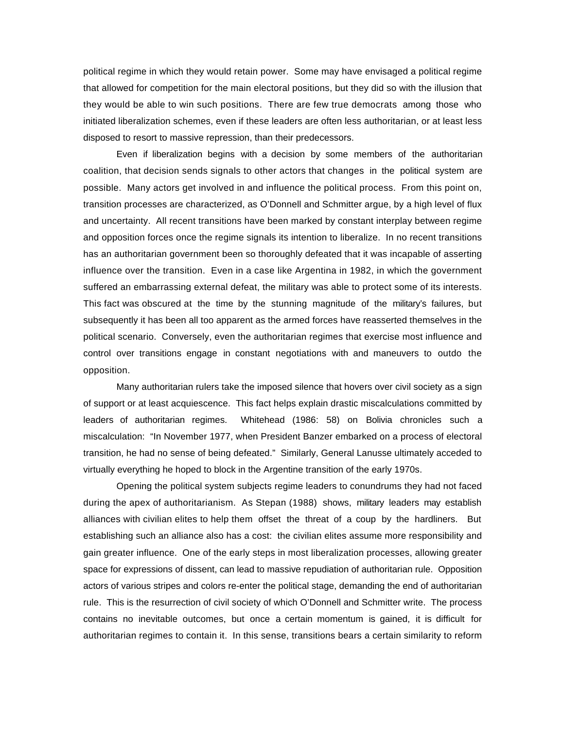political regime in which they would retain power. Some may have envisaged a political regime that allowed for competition for the main electoral positions, but they did so with the illusion that they would be able to win such positions. There are few true democrats among those who initiated liberalization schemes, even if these leaders are often less authoritarian, or at least less disposed to resort to massive repression, than their predecessors.

Even if liberalization begins with a decision by some members of the authoritarian coalition, that decision sends signals to other actors that changes in the political system are possible. Many actors get involved in and influence the political process. From this point on, transition processes are characterized, as O'Donnell and Schmitter argue, by a high level of flux and uncertainty. All recent transitions have been marked by constant interplay between regime and opposition forces once the regime signals its intention to liberalize. In no recent transitions has an authoritarian government been so thoroughly defeated that it was incapable of asserting influence over the transition. Even in a case like Argentina in 1982, in which the government suffered an embarrassing external defeat, the military was able to protect some of its interests. This fact was obscured at the time by the stunning magnitude of the military's failures, but subsequently it has been all too apparent as the armed forces have reasserted themselves in the political scenario. Conversely, even the authoritarian regimes that exercise most influence and control over transitions engage in constant negotiations with and maneuvers to outdo the opposition.

Many authoritarian rulers take the imposed silence that hovers over civil society as a sign of support or at least acquiescence. This fact helps explain drastic miscalculations committed by leaders of authoritarian regimes. Whitehead (1986: 58) on Bolivia chronicles such a miscalculation: "In November 1977, when President Banzer embarked on a process of electoral transition, he had no sense of being defeated." Similarly, General Lanusse ultimately acceded to virtually everything he hoped to block in the Argentine transition of the early 1970s.

Opening the political system subjects regime leaders to conundrums they had not faced during the apex of authoritarianism. As Stepan (1988) shows, military leaders may establish alliances with civilian elites to help them offset the threat of a coup by the hardliners. But establishing such an alliance also has a cost: the civilian elites assume more responsibility and gain greater influence. One of the early steps in most liberalization processes, allowing greater space for expressions of dissent, can lead to massive repudiation of authoritarian rule. Opposition actors of various stripes and colors re-enter the political stage, demanding the end of authoritarian rule. This is the resurrection of civil society of which O'Donnell and Schmitter write. The process contains no inevitable outcomes, but once a certain momentum is gained, it is difficult for authoritarian regimes to contain it. In this sense, transitions bears a certain similarity to reform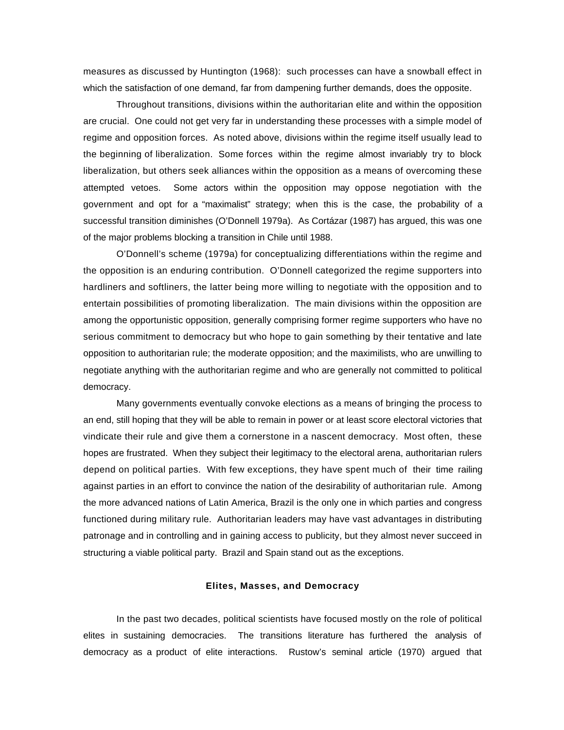measures as discussed by Huntington (1968): such processes can have a snowball effect in which the satisfaction of one demand, far from dampening further demands, does the opposite.

Throughout transitions, divisions within the authoritarian elite and within the opposition are crucial. One could not get very far in understanding these processes with a simple model of regime and opposition forces. As noted above, divisions within the regime itself usually lead to the beginning of liberalization. Some forces within the regime almost invariably try to block liberalization, but others seek alliances within the opposition as a means of overcoming these attempted vetoes. Some actors within the opposition may oppose negotiation with the government and opt for a "maximalist" strategy; when this is the case, the probability of a successful transition diminishes (O'Donnell 1979a). As Cortázar (1987) has argued, this was one of the major problems blocking a transition in Chile until 1988.

O'Donnell's scheme (1979a) for conceptualizing differentiations within the regime and the opposition is an enduring contribution. O'Donnell categorized the regime supporters into hardliners and softliners, the latter being more willing to negotiate with the opposition and to entertain possibilities of promoting liberalization. The main divisions within the opposition are among the opportunistic opposition, generally comprising former regime supporters who have no serious commitment to democracy but who hope to gain something by their tentative and late opposition to authoritarian rule; the moderate opposition; and the maximilists, who are unwilling to negotiate anything with the authoritarian regime and who are generally not committed to political democracy.

Many governments eventually convoke elections as a means of bringing the process to an end, still hoping that they will be able to remain in power or at least score electoral victories that vindicate their rule and give them a cornerstone in a nascent democracy. Most often, these hopes are frustrated. When they subject their legitimacy to the electoral arena, authoritarian rulers depend on political parties. With few exceptions, they have spent much of their time railing against parties in an effort to convince the nation of the desirability of authoritarian rule. Among the more advanced nations of Latin America, Brazil is the only one in which parties and congress functioned during military rule. Authoritarian leaders may have vast advantages in distributing patronage and in controlling and in gaining access to publicity, but they almost never succeed in structuring a viable political party. Brazil and Spain stand out as the exceptions.

#### **Elites, Masses, and Democracy**

In the past two decades, political scientists have focused mostly on the role of political elites in sustaining democracies. The transitions literature has furthered the analysis of democracy as a product of elite interactions. Rustow's seminal article (1970) argued that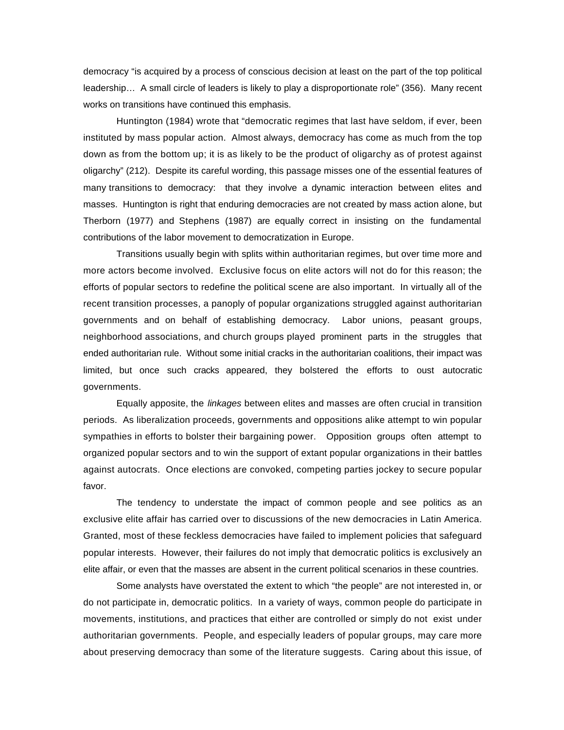democracy "is acquired by a process of conscious decision at least on the part of the top political leadership… A small circle of leaders is likely to play a disproportionate role" (356). Many recent works on transitions have continued this emphasis.

Huntington (1984) wrote that "democratic regimes that last have seldom, if ever, been instituted by mass popular action. Almost always, democracy has come as much from the top down as from the bottom up; it is as likely to be the product of oligarchy as of protest against oligarchy" (212). Despite its careful wording, this passage misses one of the essential features of many transitions to democracy: that they involve a dynamic interaction between elites and masses. Huntington is right that enduring democracies are not created by mass action alone, but Therborn (1977) and Stephens (1987) are equally correct in insisting on the fundamental contributions of the labor movement to democratization in Europe.

Transitions usually begin with splits within authoritarian regimes, but over time more and more actors become involved. Exclusive focus on elite actors will not do for this reason; the efforts of popular sectors to redefine the political scene are also important. In virtually all of the recent transition processes, a panoply of popular organizations struggled against authoritarian governments and on behalf of establishing democracy. Labor unions, peasant groups, neighborhood associations, and church groups played prominent parts in the struggles that ended authoritarian rule. Without some initial cracks in the authoritarian coalitions, their impact was limited, but once such cracks appeared, they bolstered the efforts to oust autocratic governments.

Equally apposite, the *linkages* between elites and masses are often crucial in transition periods. As liberalization proceeds, governments and oppositions alike attempt to win popular sympathies in efforts to bolster their bargaining power. Opposition groups often attempt to organized popular sectors and to win the support of extant popular organizations in their battles against autocrats. Once elections are convoked, competing parties jockey to secure popular favor.

The tendency to understate the impact of common people and see politics as an exclusive elite affair has carried over to discussions of the new democracies in Latin America. Granted, most of these feckless democracies have failed to implement policies that safeguard popular interests. However, their failures do not imply that democratic politics is exclusively an elite affair, or even that the masses are absent in the current political scenarios in these countries.

Some analysts have overstated the extent to which "the people" are not interested in, or do not participate in, democratic politics. In a variety of ways, common people do participate in movements, institutions, and practices that either are controlled or simply do not exist under authoritarian governments. People, and especially leaders of popular groups, may care more about preserving democracy than some of the literature suggests. Caring about this issue, of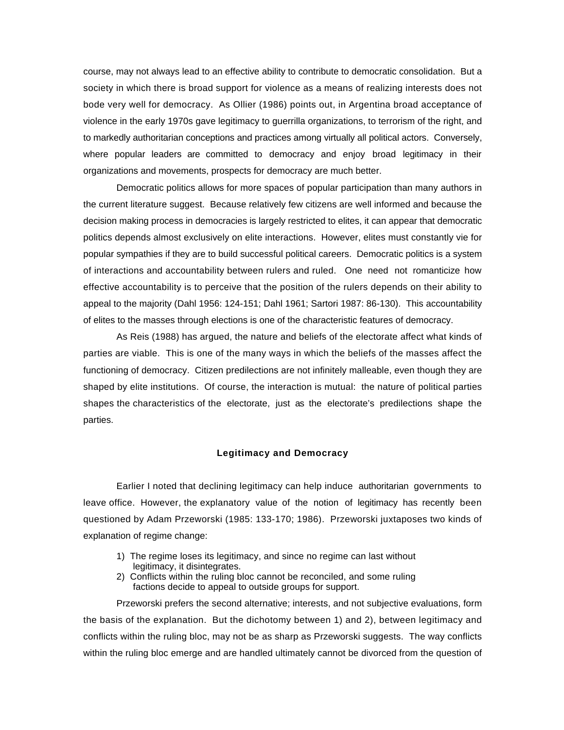course, may not always lead to an effective ability to contribute to democratic consolidation. But a society in which there is broad support for violence as a means of realizing interests does not bode very well for democracy. As Ollier (1986) points out, in Argentina broad acceptance of violence in the early 1970s gave legitimacy to guerrilla organizations, to terrorism of the right, and to markedly authoritarian conceptions and practices among virtually all political actors. Conversely, where popular leaders are committed to democracy and enjoy broad legitimacy in their organizations and movements, prospects for democracy are much better.

Democratic politics allows for more spaces of popular participation than many authors in the current literature suggest. Because relatively few citizens are well informed and because the decision making process in democracies is largely restricted to elites, it can appear that democratic politics depends almost exclusively on elite interactions. However, elites must constantly vie for popular sympathies if they are to build successful political careers. Democratic politics is a system of interactions and accountability between rulers and ruled. One need not romanticize how effective accountability is to perceive that the position of the rulers depends on their ability to appeal to the majority (Dahl 1956: 124-151; Dahl 1961; Sartori 1987: 86-130). This accountability of elites to the masses through elections is one of the characteristic features of democracy.

As Reis (1988) has argued, the nature and beliefs of the electorate affect what kinds of parties are viable. This is one of the many ways in which the beliefs of the masses affect the functioning of democracy. Citizen predilections are not infinitely malleable, even though they are shaped by elite institutions. Of course, the interaction is mutual: the nature of political parties shapes the characteristics of the electorate, just as the electorate's predilections shape the parties.

## **Legitimacy and Democracy**

Earlier I noted that declining legitimacy can help induce authoritarian governments to leave office. However, the explanatory value of the notion of legitimacy has recently been questioned by Adam Przeworski (1985: 133-170; 1986). Przeworski juxtaposes two kinds of explanation of regime change:

- 1) The regime loses its legitimacy, and since no regime can last without legitimacy, it disintegrates.
- 2) Conflicts within the ruling bloc cannot be reconciled, and some ruling factions decide to appeal to outside groups for support.

Przeworski prefers the second alternative; interests, and not subjective evaluations, form the basis of the explanation. But the dichotomy between 1) and 2), between legitimacy and conflicts within the ruling bloc, may not be as sharp as Przeworski suggests. The way conflicts within the ruling bloc emerge and are handled ultimately cannot be divorced from the question of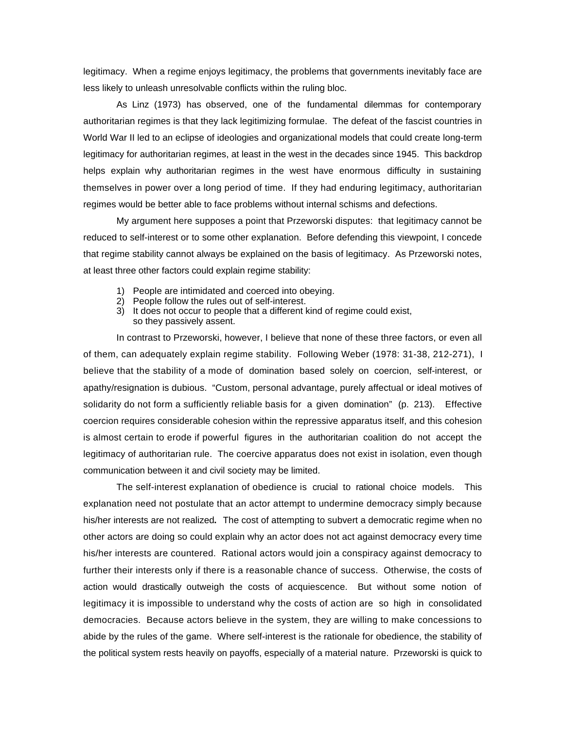legitimacy. When a regime enjoys legitimacy, the problems that governments inevitably face are less likely to unleash unresolvable conflicts within the ruling bloc.

As Linz (1973) has observed, one of the fundamental dilemmas for contemporary authoritarian regimes is that they lack legitimizing formulae. The defeat of the fascist countries in World War II led to an eclipse of ideologies and organizational models that could create long-term legitimacy for authoritarian regimes, at least in the west in the decades since 1945. This backdrop helps explain why authoritarian regimes in the west have enormous difficulty in sustaining themselves in power over a long period of time. If they had enduring legitimacy, authoritarian regimes would be better able to face problems without internal schisms and defections.

My argument here supposes a point that Przeworski disputes: that legitimacy cannot be reduced to self-interest or to some other explanation. Before defending this viewpoint, I concede that regime stability cannot always be explained on the basis of legitimacy. As Przeworski notes, at least three other factors could explain regime stability:

- 1) People are intimidated and coerced into obeying.
- 2) People follow the rules out of self-interest.
- 3) It does not occur to people that a different kind of regime could exist, so they passively assent.

In contrast to Przeworski, however, I believe that none of these three factors, or even all of them, can adequately explain regime stability. Following Weber (1978: 31-38, 212-271), I believe that the stability of a mode of domination based solely on coercion, self-interest, or apathy/resignation is dubious. "Custom, personal advantage, purely affectual or ideal motives of solidarity do not form a sufficiently reliable basis for a given domination" (p. 213). Effective coercion requires considerable cohesion within the repressive apparatus itself, and this cohesion is almost certain to erode if powerful figures in the authoritarian coalition do not accept the legitimacy of authoritarian rule. The coercive apparatus does not exist in isolation, even though communication between it and civil society may be limited.

The self-interest explanation of obedience is crucial to rational choice models. This explanation need not postulate that an actor attempt to undermine democracy simply because his/her interests are not realized**.** The cost of attempting to subvert a democratic regime when no other actors are doing so could explain why an actor does not act against democracy every time his/her interests are countered. Rational actors would join a conspiracy against democracy to further their interests only if there is a reasonable chance of success. Otherwise, the costs of action would drastically outweigh the costs of acquiescence. But without some notion of legitimacy it is impossible to understand why the costs of action are so high in consolidated democracies. Because actors believe in the system, they are willing to make concessions to abide by the rules of the game. Where self-interest is the rationale for obedience, the stability of the political system rests heavily on payoffs, especially of a material nature. Przeworski is quick to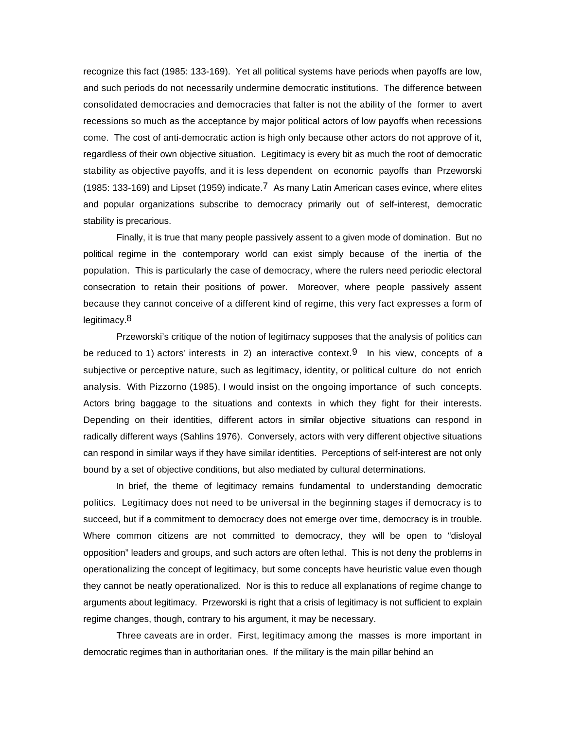recognize this fact (1985: 133-169). Yet all political systems have periods when payoffs are low, and such periods do not necessarily undermine democratic institutions. The difference between consolidated democracies and democracies that falter is not the ability of the former to avert recessions so much as the acceptance by major political actors of low payoffs when recessions come. The cost of anti-democratic action is high only because other actors do not approve of it, regardless of their own objective situation. Legitimacy is every bit as much the root of democratic stability as objective payoffs, and it is less dependent on economic payoffs than Przeworski (1985: 133-169) and Lipset (1959) indicate.7 As many Latin American cases evince, where elites and popular organizations subscribe to democracy primarily out of self-interest, democratic stability is precarious.

Finally, it is true that many people passively assent to a given mode of domination. But no political regime in the contemporary world can exist simply because of the inertia of the population. This is particularly the case of democracy, where the rulers need periodic electoral consecration to retain their positions of power. Moreover, where people passively assent because they cannot conceive of a different kind of regime, this very fact expresses a form of legitimacy.8

Przeworski's critique of the notion of legitimacy supposes that the analysis of politics can be reduced to 1) actors' interests in 2) an interactive context.<sup>9</sup> In his view, concepts of a subjective or perceptive nature, such as legitimacy, identity, or political culture do not enrich analysis. With Pizzorno (1985), I would insist on the ongoing importance of such concepts. Actors bring baggage to the situations and contexts in which they fight for their interests. Depending on their identities, different actors in similar objective situations can respond in radically different ways (Sahlins 1976). Conversely, actors with very different objective situations can respond in similar ways if they have similar identities. Perceptions of self-interest are not only bound by a set of objective conditions, but also mediated by cultural determinations.

In brief, the theme of legitimacy remains fundamental to understanding democratic politics. Legitimacy does not need to be universal in the beginning stages if democracy is to succeed, but if a commitment to democracy does not emerge over time, democracy is in trouble. Where common citizens are not committed to democracy, they will be open to "disloyal opposition" leaders and groups, and such actors are often lethal. This is not deny the problems in operationalizing the concept of legitimacy, but some concepts have heuristic value even though they cannot be neatly operationalized. Nor is this to reduce all explanations of regime change to arguments about legitimacy. Przeworski is right that a crisis of legitimacy is not sufficient to explain regime changes, though, contrary to his argument, it may be necessary.

Three caveats are in order. First, legitimacy among the masses is more important in democratic regimes than in authoritarian ones. If the military is the main pillar behind an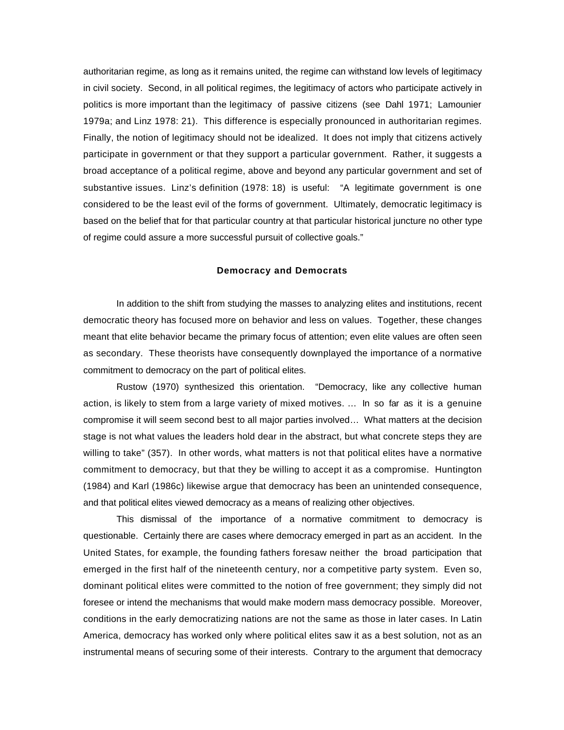authoritarian regime, as long as it remains united, the regime can withstand low levels of legitimacy in civil society. Second, in all political regimes, the legitimacy of actors who participate actively in politics is more important than the legitimacy of passive citizens (see Dahl 1971; Lamounier 1979a; and Linz 1978: 21). This difference is especially pronounced in authoritarian regimes. Finally, the notion of legitimacy should not be idealized. It does not imply that citizens actively participate in government or that they support a particular government. Rather, it suggests a broad acceptance of a political regime, above and beyond any particular government and set of substantive issues. Linz's definition (1978: 18) is useful: "A legitimate government is one considered to be the least evil of the forms of government. Ultimately, democratic legitimacy is based on the belief that for that particular country at that particular historical juncture no other type of regime could assure a more successful pursuit of collective goals."

### **Democracy and Democrats**

In addition to the shift from studying the masses to analyzing elites and institutions, recent democratic theory has focused more on behavior and less on values. Together, these changes meant that elite behavior became the primary focus of attention; even elite values are often seen as secondary. These theorists have consequently downplayed the importance of a normative commitment to democracy on the part of political elites.

Rustow (1970) synthesized this orientation. "Democracy, like any collective human action, is likely to stem from a large variety of mixed motives. … In so far as it is a genuine compromise it will seem second best to all major parties involved… What matters at the decision stage is not what values the leaders hold dear in the abstract, but what concrete steps they are willing to take" (357). In other words, what matters is not that political elites have a normative commitment to democracy, but that they be willing to accept it as a compromise. Huntington (1984) and Karl (1986c) likewise argue that democracy has been an unintended consequence, and that political elites viewed democracy as a means of realizing other objectives.

This dismissal of the importance of a normative commitment to democracy is questionable. Certainly there are cases where democracy emerged in part as an accident. In the United States, for example, the founding fathers foresaw neither the broad participation that emerged in the first half of the nineteenth century, nor a competitive party system. Even so, dominant political elites were committed to the notion of free government; they simply did not foresee or intend the mechanisms that would make modern mass democracy possible. Moreover, conditions in the early democratizing nations are not the same as those in later cases. In Latin America, democracy has worked only where political elites saw it as a best solution, not as an instrumental means of securing some of their interests. Contrary to the argument that democracy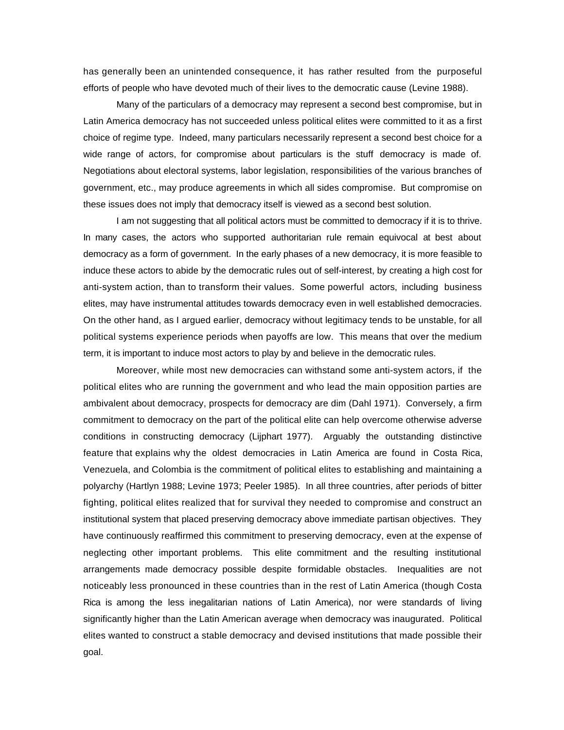has generally been an unintended consequence, it has rather resulted from the purposeful efforts of people who have devoted much of their lives to the democratic cause (Levine 1988).

Many of the particulars of a democracy may represent a second best compromise, but in Latin America democracy has not succeeded unless political elites were committed to it as a first choice of regime type. Indeed, many particulars necessarily represent a second best choice for a wide range of actors, for compromise about particulars is the stuff democracy is made of. Negotiations about electoral systems, labor legislation, responsibilities of the various branches of government, etc., may produce agreements in which all sides compromise. But compromise on these issues does not imply that democracy itself is viewed as a second best solution.

I am not suggesting that all political actors must be committed to democracy if it is to thrive. In many cases, the actors who supported authoritarian rule remain equivocal at best about democracy as a form of government. In the early phases of a new democracy, it is more feasible to induce these actors to abide by the democratic rules out of self-interest, by creating a high cost for anti-system action, than to transform their values. Some powerful actors, including business elites, may have instrumental attitudes towards democracy even in well established democracies. On the other hand, as I argued earlier, democracy without legitimacy tends to be unstable, for all political systems experience periods when payoffs are low. This means that over the medium term, it is important to induce most actors to play by and believe in the democratic rules.

Moreover, while most new democracies can withstand some anti-system actors, if the political elites who are running the government and who lead the main opposition parties are ambivalent about democracy, prospects for democracy are dim (Dahl 1971). Conversely, a firm commitment to democracy on the part of the political elite can help overcome otherwise adverse conditions in constructing democracy (Lijphart 1977). Arguably the outstanding distinctive feature that explains why the oldest democracies in Latin America are found in Costa Rica, Venezuela, and Colombia is the commitment of political elites to establishing and maintaining a polyarchy (Hartlyn 1988; Levine 1973; Peeler 1985). In all three countries, after periods of bitter fighting, political elites realized that for survival they needed to compromise and construct an institutional system that placed preserving democracy above immediate partisan objectives. They have continuously reaffirmed this commitment to preserving democracy, even at the expense of neglecting other important problems. This elite commitment and the resulting institutional arrangements made democracy possible despite formidable obstacles. Inequalities are not noticeably less pronounced in these countries than in the rest of Latin America (though Costa Rica is among the less inegalitarian nations of Latin America), nor were standards of living significantly higher than the Latin American average when democracy was inaugurated. Political elites wanted to construct a stable democracy and devised institutions that made possible their goal.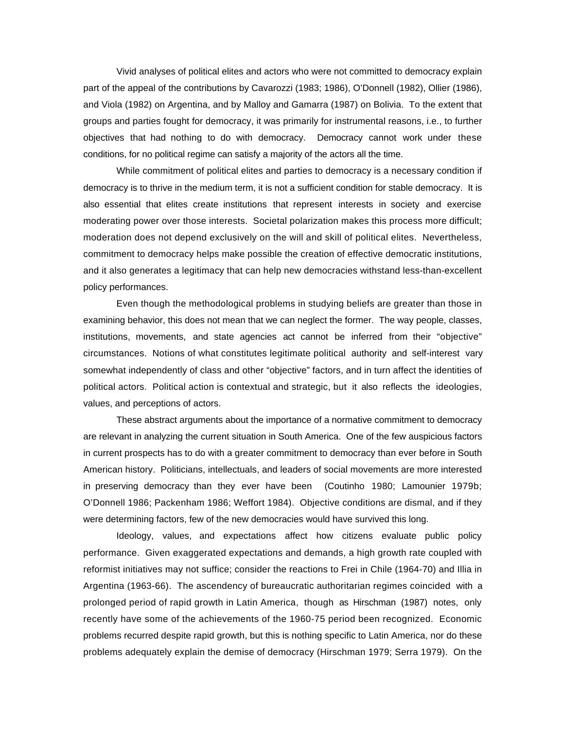Vivid analyses of political elites and actors who were not committed to democracy explain part of the appeal of the contributions by Cavarozzi (1983; 1986), O'Donnell (1982), Ollier (1986), and Viola (1982) on Argentina, and by Malloy and Gamarra (1987) on Bolivia. To the extent that groups and parties fought for democracy, it was primarily for instrumental reasons, i.e., to further objectives that had nothing to do with democracy. Democracy cannot work under these conditions, for no political regime can satisfy a majority of the actors all the time.

While commitment of political elites and parties to democracy is a necessary condition if democracy is to thrive in the medium term, it is not a sufficient condition for stable democracy. It is also essential that elites create institutions that represent interests in society and exercise moderating power over those interests. Societal polarization makes this process more difficult; moderation does not depend exclusively on the will and skill of political elites. Nevertheless, commitment to democracy helps make possible the creation of effective democratic institutions, and it also generates a legitimacy that can help new democracies withstand less-than-excellent policy performances.

Even though the methodological problems in studying beliefs are greater than those in examining behavior, this does not mean that we can neglect the former. The way people, classes, institutions, movements, and state agencies act cannot be inferred from their "objective" circumstances. Notions of what constitutes legitimate political authority and self-interest vary somewhat independently of class and other "objective" factors, and in turn affect the identities of political actors. Political action is contextual and strategic, but it also reflects the ideologies, values, and perceptions of actors.

These abstract arguments about the importance of a normative commitment to democracy are relevant in analyzing the current situation in South America. One of the few auspicious factors in current prospects has to do with a greater commitment to democracy than ever before in South American history. Politicians, intellectuals, and leaders of social movements are more interested in preserving democracy than they ever have been (Coutinho 1980; Lamounier 1979b; O'Donnell 1986; Packenham 1986; Weffort 1984). Objective conditions are dismal, and if they were determining factors, few of the new democracies would have survived this long.

Ideology, values, and expectations affect how citizens evaluate public policy performance. Given exaggerated expectations and demands, a high growth rate coupled with reformist initiatives may not suffice; consider the reactions to Frei in Chile (1964-70) and Illia in Argentina (1963-66). The ascendency of bureaucratic authoritarian regimes coincided with a prolonged period of rapid growth in Latin America, though as Hirschman (1987) notes, only recently have some of the achievements of the 1960-75 period been recognized. Economic problems recurred despite rapid growth, but this is nothing specific to Latin America, nor do these problems adequately explain the demise of democracy (Hirschman 1979; Serra 1979). On the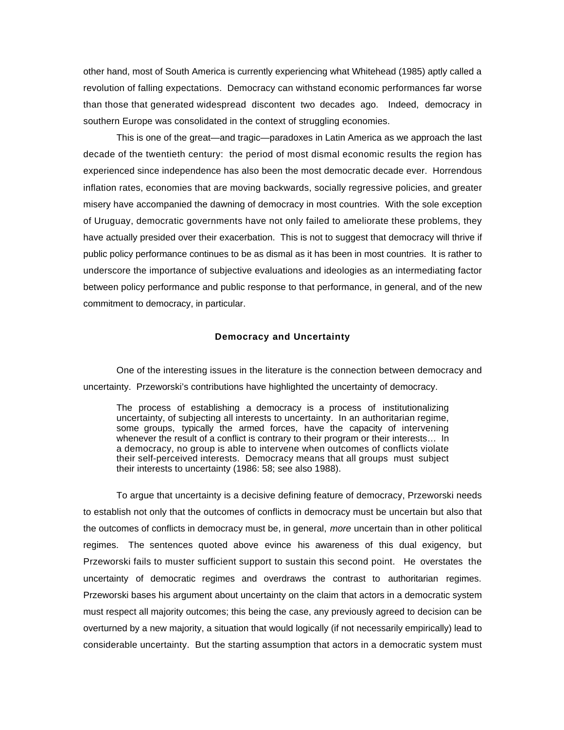other hand, most of South America is currently experiencing what Whitehead (1985) aptly called a revolution of falling expectations. Democracy can withstand economic performances far worse than those that generated widespread discontent two decades ago. Indeed, democracy in southern Europe was consolidated in the context of struggling economies.

This is one of the great—and tragic—paradoxes in Latin America as we approach the last decade of the twentieth century: the period of most dismal economic results the region has experienced since independence has also been the most democratic decade ever. Horrendous inflation rates, economies that are moving backwards, socially regressive policies, and greater misery have accompanied the dawning of democracy in most countries. With the sole exception of Uruguay, democratic governments have not only failed to ameliorate these problems, they have actually presided over their exacerbation. This is not to suggest that democracy will thrive if public policy performance continues to be as dismal as it has been in most countries. It is rather to underscore the importance of subjective evaluations and ideologies as an intermediating factor between policy performance and public response to that performance, in general, and of the new commitment to democracy, in particular.

### **Democracy and Uncertainty**

One of the interesting issues in the literature is the connection between democracy and uncertainty. Przeworski's contributions have highlighted the uncertainty of democracy.

The process of establishing a democracy is a process of institutionalizing uncertainty, of subjecting all interests to uncertainty. In an authoritarian regime, some groups, typically the armed forces, have the capacity of intervening whenever the result of a conflict is contrary to their program or their interests... In a democracy, no group is able to intervene when outcomes of conflicts violate their self-perceived interests. Democracy means that all groups must subject their interests to uncertainty (1986: 58; see also 1988).

To argue that uncertainty is a decisive defining feature of democracy, Przeworski needs to establish not only that the outcomes of conflicts in democracy must be uncertain but also that the outcomes of conflicts in democracy must be, in general, *more* uncertain than in other political regimes. The sentences quoted above evince his awareness of this dual exigency, but Przeworski fails to muster sufficient support to sustain this second point. He overstates the uncertainty of democratic regimes and overdraws the contrast to authoritarian regimes. Przeworski bases his argument about uncertainty on the claim that actors in a democratic system must respect all majority outcomes; this being the case, any previously agreed to decision can be overturned by a new majority, a situation that would logically (if not necessarily empirically) lead to considerable uncertainty. But the starting assumption that actors in a democratic system must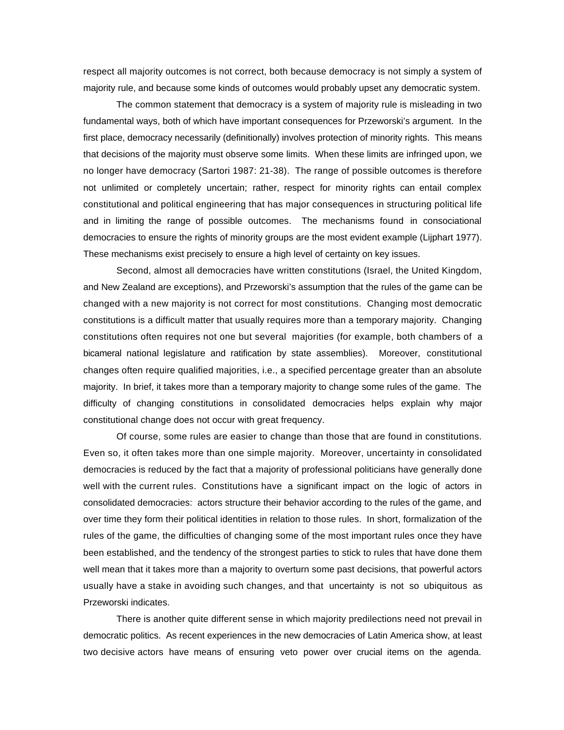respect all majority outcomes is not correct, both because democracy is not simply a system of majority rule, and because some kinds of outcomes would probably upset any democratic system.

The common statement that democracy is a system of majority rule is misleading in two fundamental ways, both of which have important consequences for Przeworski's argument. In the first place, democracy necessarily (definitionally) involves protection of minority rights. This means that decisions of the majority must observe some limits. When these limits are infringed upon, we no longer have democracy (Sartori 1987: 21-38). The range of possible outcomes is therefore not unlimited or completely uncertain; rather, respect for minority rights can entail complex constitutional and political engineering that has major consequences in structuring political life and in limiting the range of possible outcomes. The mechanisms found in consociational democracies to ensure the rights of minority groups are the most evident example (Lijphart 1977). These mechanisms exist precisely to ensure a high level of certainty on key issues.

Second, almost all democracies have written constitutions (Israel, the United Kingdom, and New Zealand are exceptions), and Przeworski's assumption that the rules of the game can be changed with a new majority is not correct for most constitutions. Changing most democratic constitutions is a difficult matter that usually requires more than a temporary majority. Changing constitutions often requires not one but several majorities (for example, both chambers of a bicameral national legislature and ratification by state assemblies). Moreover, constitutional changes often require qualified majorities, i.e., a specified percentage greater than an absolute majority. In brief, it takes more than a temporary majority to change some rules of the game. The difficulty of changing constitutions in consolidated democracies helps explain why major constitutional change does not occur with great frequency.

Of course, some rules are easier to change than those that are found in constitutions. Even so, it often takes more than one simple majority. Moreover, uncertainty in consolidated democracies is reduced by the fact that a majority of professional politicians have generally done well with the current rules. Constitutions have a significant impact on the logic of actors in consolidated democracies: actors structure their behavior according to the rules of the game, and over time they form their political identities in relation to those rules. In short, formalization of the rules of the game, the difficulties of changing some of the most important rules once they have been established, and the tendency of the strongest parties to stick to rules that have done them well mean that it takes more than a majority to overturn some past decisions, that powerful actors usually have a stake in avoiding such changes, and that uncertainty is not so ubiquitous as Przeworski indicates.

There is another quite different sense in which majority predilections need not prevail in democratic politics. As recent experiences in the new democracies of Latin America show, at least two decisive actors have means of ensuring veto power over crucial items on the agenda.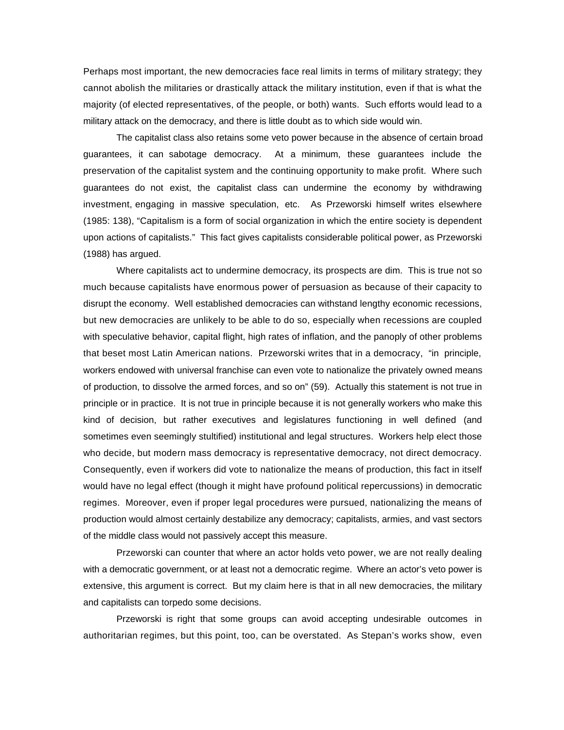Perhaps most important, the new democracies face real limits in terms of military strategy; they cannot abolish the militaries or drastically attack the military institution, even if that is what the majority (of elected representatives, of the people, or both) wants. Such efforts would lead to a military attack on the democracy, and there is little doubt as to which side would win.

The capitalist class also retains some veto power because in the absence of certain broad guarantees, it can sabotage democracy. At a minimum, these guarantees include the preservation of the capitalist system and the continuing opportunity to make profit. Where such guarantees do not exist, the capitalist class can undermine the economy by withdrawing investment, engaging in massive speculation, etc. As Przeworski himself writes elsewhere (1985: 138), "Capitalism is a form of social organization in which the entire society is dependent upon actions of capitalists." This fact gives capitalists considerable political power, as Przeworski (1988) has argued.

Where capitalists act to undermine democracy, its prospects are dim. This is true not so much because capitalists have enormous power of persuasion as because of their capacity to disrupt the economy. Well established democracies can withstand lengthy economic recessions, but new democracies are unlikely to be able to do so, especially when recessions are coupled with speculative behavior, capital flight, high rates of inflation, and the panoply of other problems that beset most Latin American nations. Przeworski writes that in a democracy, "in principle, workers endowed with universal franchise can even vote to nationalize the privately owned means of production, to dissolve the armed forces, and so on" (59). Actually this statement is not true in principle or in practice. It is not true in principle because it is not generally workers who make this kind of decision, but rather executives and legislatures functioning in well defined (and sometimes even seemingly stultified) institutional and legal structures. Workers help elect those who decide, but modern mass democracy is representative democracy, not direct democracy. Consequently, even if workers did vote to nationalize the means of production, this fact in itself would have no legal effect (though it might have profound political repercussions) in democratic regimes. Moreover, even if proper legal procedures were pursued, nationalizing the means of production would almost certainly destabilize any democracy; capitalists, armies, and vast sectors of the middle class would not passively accept this measure.

Przeworski can counter that where an actor holds veto power, we are not really dealing with a democratic government, or at least not a democratic regime. Where an actor's veto power is extensive, this argument is correct. But my claim here is that in all new democracies, the military and capitalists can torpedo some decisions.

Przeworski is right that some groups can avoid accepting undesirable outcomes in authoritarian regimes, but this point, too, can be overstated. As Stepan's works show, even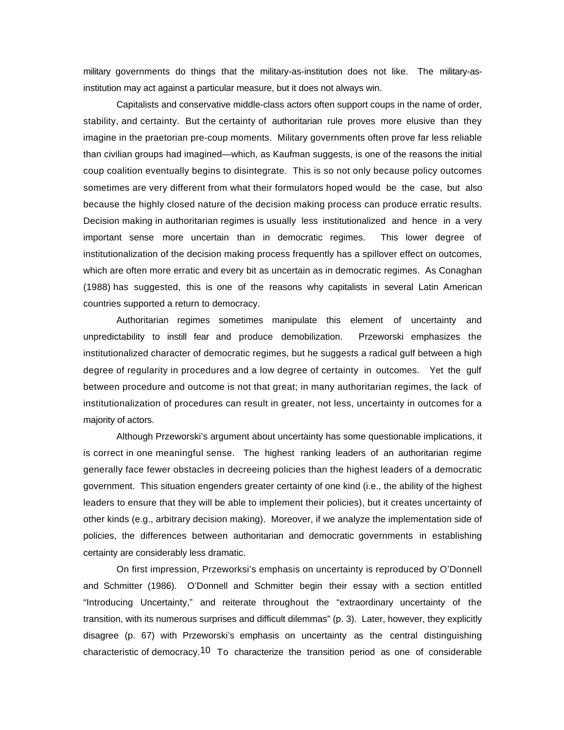military governments do things that the military-as-institution does not like. The military-asinstitution may act against a particular measure, but it does not always win.

Capitalists and conservative middle-class actors often support coups in the name of order, stability, and certainty. But the certainty of authoritarian rule proves more elusive than they imagine in the praetorian pre-coup moments. Military governments often prove far less reliable than civilian groups had imagined—which, as Kaufman suggests, is one of the reasons the initial coup coalition eventually begins to disintegrate. This is so not only because policy outcomes sometimes are very different from what their formulators hoped would be the case, but also because the highly closed nature of the decision making process can produce erratic results. Decision making in authoritarian regimes is usually less institutionalized and hence in a very important sense more uncertain than in democratic regimes. This lower degree of institutionalization of the decision making process frequently has a spillover effect on outcomes, which are often more erratic and every bit as uncertain as in democratic regimes. As Conaghan (1988) has suggested, this is one of the reasons why capitalists in several Latin American countries supported a return to democracy.

Authoritarian regimes sometimes manipulate this element of uncertainty and unpredictability to instill fear and produce demobilization. Przeworski emphasizes the institutionalized character of democratic regimes, but he suggests a radical gulf between a high degree of regularity in procedures and a low degree of certainty in outcomes. Yet the gulf between procedure and outcome is not that great; in many authoritarian regimes, the lack of institutionalization of procedures can result in greater, not less, uncertainty in outcomes for a majority of actors.

Although Przeworski's argument about uncertainty has some questionable implications, it is correct in one meaningful sense. The highest ranking leaders of an authoritarian regime generally face fewer obstacles in decreeing policies than the highest leaders of a democratic government. This situation engenders greater certainty of one kind (i.e., the ability of the highest leaders to ensure that they will be able to implement their policies), but it creates uncertainty of other kinds (e.g., arbitrary decision making). Moreover, if we analyze the implementation side of policies, the differences between authoritarian and democratic governments in establishing certainty are considerably less dramatic.

On first impression, Przeworksi's emphasis on uncertainty is reproduced by O'Donnell and Schmitter (1986). O'Donnell and Schmitter begin their essay with a section entitled "Introducing Uncertainty," and reiterate throughout the "extraordinary uncertainty of the transition, with its numerous surprises and difficult dilemmas" (p. 3). Later, however, they explicitly disagree (p. 67) with Przeworski's emphasis on uncertainty as the central distinguishing characteristic of democracy.10 To characterize the transition period as one of considerable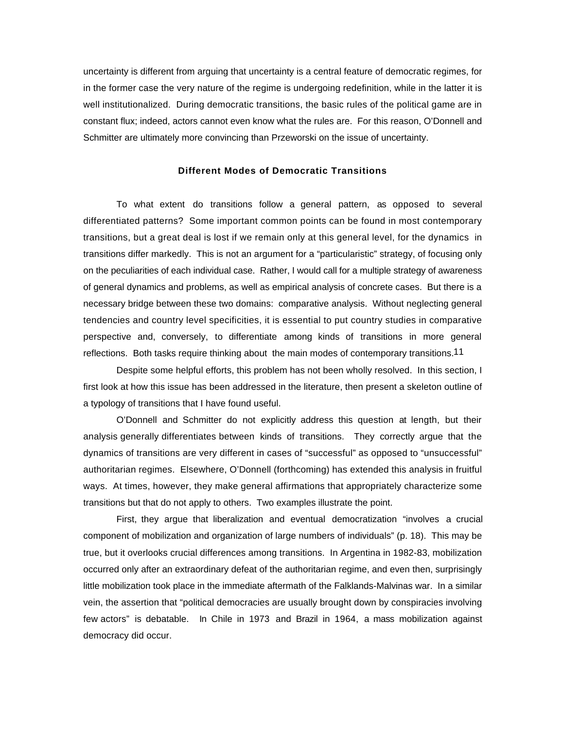uncertainty is different from arguing that uncertainty is a central feature of democratic regimes, for in the former case the very nature of the regime is undergoing redefinition, while in the latter it is well institutionalized. During democratic transitions, the basic rules of the political game are in constant flux; indeed, actors cannot even know what the rules are. For this reason, O'Donnell and Schmitter are ultimately more convincing than Przeworski on the issue of uncertainty.

### **Different Modes of Democratic Transitions**

To what extent do transitions follow a general pattern, as opposed to several differentiated patterns? Some important common points can be found in most contemporary transitions, but a great deal is lost if we remain only at this general level, for the dynamics in transitions differ markedly. This is not an argument for a "particularistic" strategy, of focusing only on the peculiarities of each individual case. Rather, I would call for a multiple strategy of awareness of general dynamics and problems, as well as empirical analysis of concrete cases. But there is a necessary bridge between these two domains: comparative analysis. Without neglecting general tendencies and country level specificities, it is essential to put country studies in comparative perspective and, conversely, to differentiate among kinds of transitions in more general reflections. Both tasks require thinking about the main modes of contemporary transitions.<sup>11</sup>

Despite some helpful efforts, this problem has not been wholly resolved. In this section, I first look at how this issue has been addressed in the literature, then present a skeleton outline of a typology of transitions that I have found useful.

O'Donnell and Schmitter do not explicitly address this question at length, but their analysis generally differentiates between kinds of transitions. They correctly argue that the dynamics of transitions are very different in cases of "successful" as opposed to "unsuccessful" authoritarian regimes. Elsewhere, O'Donnell (forthcoming) has extended this analysis in fruitful ways. At times, however, they make general affirmations that appropriately characterize some transitions but that do not apply to others. Two examples illustrate the point.

First, they argue that liberalization and eventual democratization "involves a crucial component of mobilization and organization of large numbers of individuals" (p. 18). This may be true, but it overlooks crucial differences among transitions. In Argentina in 1982-83, mobilization occurred only after an extraordinary defeat of the authoritarian regime, and even then, surprisingly little mobilization took place in the immediate aftermath of the Falklands-Malvinas war. In a similar vein, the assertion that "political democracies are usually brought down by conspiracies involving few actors" is debatable. In Chile in 1973 and Brazil in 1964, a mass mobilization against democracy did occur.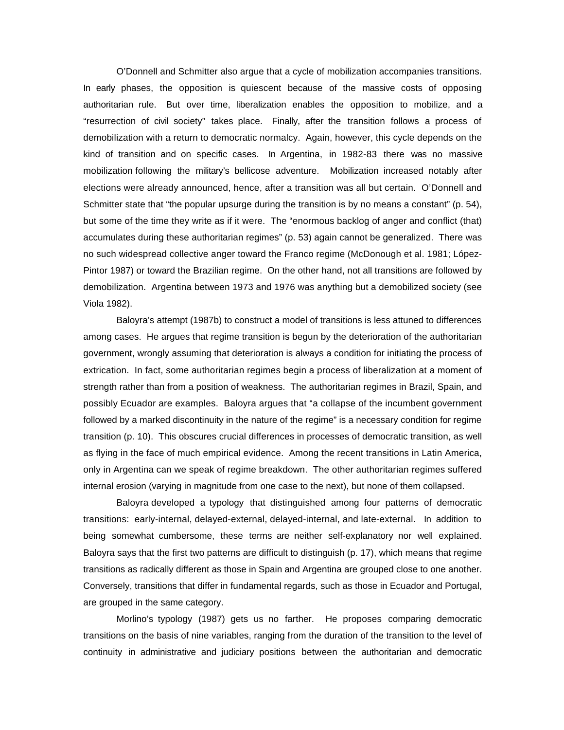O'Donnell and Schmitter also argue that a cycle of mobilization accompanies transitions. In early phases, the opposition is quiescent because of the massive costs of opposing authoritarian rule. But over time, liberalization enables the opposition to mobilize, and a "resurrection of civil society" takes place. Finally, after the transition follows a process of demobilization with a return to democratic normalcy. Again, however, this cycle depends on the kind of transition and on specific cases. In Argentina, in 1982-83 there was no massive mobilization following the military's bellicose adventure. Mobilization increased notably after elections were already announced, hence, after a transition was all but certain. O'Donnell and Schmitter state that "the popular upsurge during the transition is by no means a constant" (p. 54), but some of the time they write as if it were. The "enormous backlog of anger and conflict (that) accumulates during these authoritarian regimes" (p. 53) again cannot be generalized. There was no such widespread collective anger toward the Franco regime (McDonough et al. 1981; López-Pintor 1987) or toward the Brazilian regime. On the other hand, not all transitions are followed by demobilization. Argentina between 1973 and 1976 was anything but a demobilized society (see Viola 1982).

Baloyra's attempt (1987b) to construct a model of transitions is less attuned to differences among cases. He argues that regime transition is begun by the deterioration of the authoritarian government, wrongly assuming that deterioration is always a condition for initiating the process of extrication. In fact, some authoritarian regimes begin a process of liberalization at a moment of strength rather than from a position of weakness. The authoritarian regimes in Brazil, Spain, and possibly Ecuador are examples. Baloyra argues that "a collapse of the incumbent government followed by a marked discontinuity in the nature of the regime" is a necessary condition for regime transition (p. 10). This obscures crucial differences in processes of democratic transition, as well as flying in the face of much empirical evidence. Among the recent transitions in Latin America, only in Argentina can we speak of regime breakdown. The other authoritarian regimes suffered internal erosion (varying in magnitude from one case to the next), but none of them collapsed.

Baloyra developed a typology that distinguished among four patterns of democratic transitions: early-internal, delayed-external, delayed-internal, and late-external. In addition to being somewhat cumbersome, these terms are neither self-explanatory nor well explained. Baloyra says that the first two patterns are difficult to distinguish (p. 17), which means that regime transitions as radically different as those in Spain and Argentina are grouped close to one another. Conversely, transitions that differ in fundamental regards, such as those in Ecuador and Portugal, are grouped in the same category.

Morlino's typology (1987) gets us no farther. He proposes comparing democratic transitions on the basis of nine variables, ranging from the duration of the transition to the level of continuity in administrative and judiciary positions between the authoritarian and democratic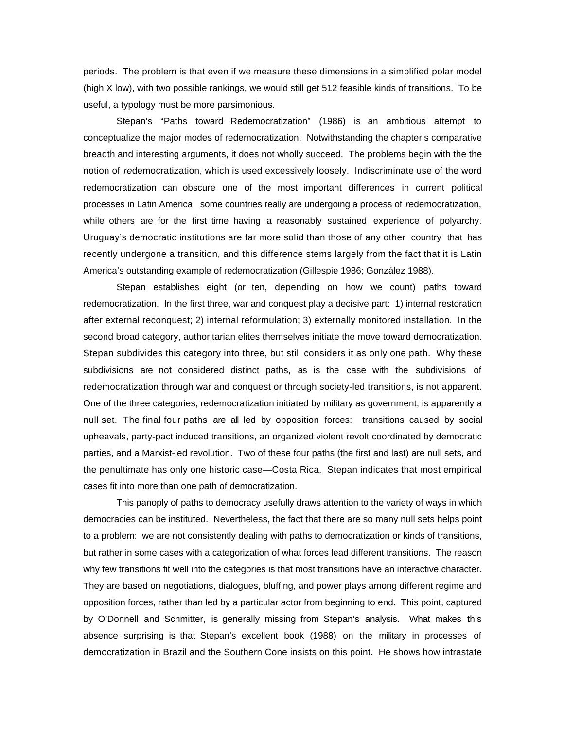periods. The problem is that even if we measure these dimensions in a simplified polar model (high X low), with two possible rankings, we would still get 512 feasible kinds of transitions. To be useful, a typology must be more parsimonious.

Stepan's "Paths toward Redemocratization" (1986) is an ambitious attempt to conceptualize the major modes of redemocratization. Notwithstanding the chapter's comparative breadth and interesting arguments, it does not wholly succeed. The problems begin with the the notion of *re*democratization, which is used excessively loosely. Indiscriminate use of the word redemocratization can obscure one of the most important differences in current political processes in Latin America: some countries really are undergoing a process of *re*democratization, while others are for the first time having a reasonably sustained experience of polyarchy. Uruguay's democratic institutions are far more solid than those of any other country that has recently undergone a transition, and this difference stems largely from the fact that it is Latin America's outstanding example of redemocratization (Gillespie 1986; González 1988).

Stepan establishes eight (or ten, depending on how we count) paths toward redemocratization. In the first three, war and conquest play a decisive part: 1) internal restoration after external reconquest; 2) internal reformulation; 3) externally monitored installation. In the second broad category, authoritarian elites themselves initiate the move toward democratization. Stepan subdivides this category into three, but still considers it as only one path. Why these subdivisions are not considered distinct paths, as is the case with the subdivisions of redemocratization through war and conquest or through society-led transitions, is not apparent. One of the three categories, redemocratization initiated by military as government, is apparently a null set. The final four paths are all led by opposition forces: transitions caused by social upheavals, party-pact induced transitions, an organized violent revolt coordinated by democratic parties, and a Marxist-led revolution. Two of these four paths (the first and last) are null sets, and the penultimate has only one historic case—Costa Rica. Stepan indicates that most empirical cases fit into more than one path of democratization.

This panoply of paths to democracy usefully draws attention to the variety of ways in which democracies can be instituted. Nevertheless, the fact that there are so many null sets helps point to a problem: we are not consistently dealing with paths to democratization or kinds of transitions, but rather in some cases with a categorization of what forces lead different transitions. The reason why few transitions fit well into the categories is that most transitions have an interactive character. They are based on negotiations, dialogues, bluffing, and power plays among different regime and opposition forces, rather than led by a particular actor from beginning to end. This point, captured by O'Donnell and Schmitter, is generally missing from Stepan's analysis. What makes this absence surprising is that Stepan's excellent book (1988) on the military in processes of democratization in Brazil and the Southern Cone insists on this point. He shows how intrastate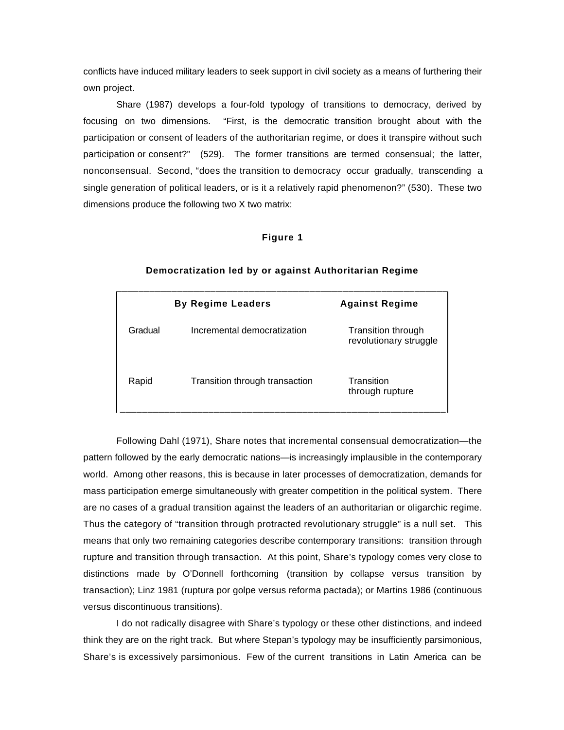conflicts have induced military leaders to seek support in civil society as a means of furthering their own project.

Share (1987) develops a four-fold typology of transitions to democracy, derived by focusing on two dimensions. "First, is the democratic transition brought about with the participation or consent of leaders of the authoritarian regime, or does it transpire without such participation or consent?" (529). The former transitions are termed consensual; the latter, nonconsensual. Second, "does the transition to democracy occur gradually, transcending a single generation of political leaders, or is it a relatively rapid phenomenon?" (530). These two dimensions produce the following two X two matrix:

### **Figure 1**

|         | <b>By Regime Leaders</b>       | <b>Against Regime</b>                        |
|---------|--------------------------------|----------------------------------------------|
| Gradual | Incremental democratization    | Transition through<br>revolutionary struggle |
| Rapid   | Transition through transaction | Transition<br>through rupture                |

## **Democratization led by or against Authoritarian Regime**

Following Dahl (1971), Share notes that incremental consensual democratization—the pattern followed by the early democratic nations—is increasingly implausible in the contemporary world. Among other reasons, this is because in later processes of democratization, demands for mass participation emerge simultaneously with greater competition in the political system. There are no cases of a gradual transition against the leaders of an authoritarian or oligarchic regime. Thus the category of "transition through protracted revolutionary struggle" is a null set. This means that only two remaining categories describe contemporary transitions: transition through rupture and transition through transaction. At this point, Share's typology comes very close to distinctions made by O'Donnell forthcoming (transition by collapse versus transition by transaction); Linz 1981 (ruptura por golpe versus reforma pactada); or Martins 1986 (continuous versus discontinuous transitions).

I do not radically disagree with Share's typology or these other distinctions, and indeed think they are on the right track. But where Stepan's typology may be insufficiently parsimonious, Share's is excessively parsimonious. Few of the current transitions in Latin America can be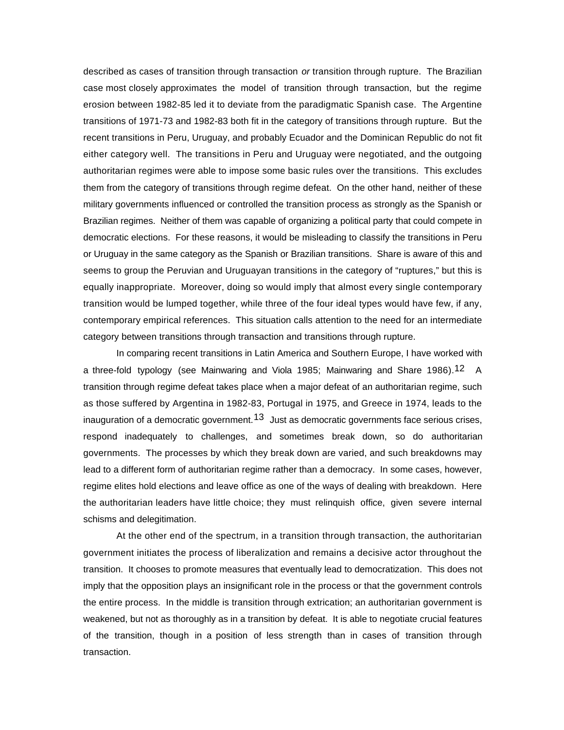described as cases of transition through transaction *or* transition through rupture. The Brazilian case most closely approximates the model of transition through transaction, but the regime erosion between 1982-85 led it to deviate from the paradigmatic Spanish case. The Argentine transitions of 1971-73 and 1982-83 both fit in the category of transitions through rupture. But the recent transitions in Peru, Uruguay, and probably Ecuador and the Dominican Republic do not fit either category well. The transitions in Peru and Uruguay were negotiated, and the outgoing authoritarian regimes were able to impose some basic rules over the transitions. This excludes them from the category of transitions through regime defeat. On the other hand, neither of these military governments influenced or controlled the transition process as strongly as the Spanish or Brazilian regimes. Neither of them was capable of organizing a political party that could compete in democratic elections. For these reasons, it would be misleading to classify the transitions in Peru or Uruguay in the same category as the Spanish or Brazilian transitions. Share is aware of this and seems to group the Peruvian and Uruguayan transitions in the category of "ruptures," but this is equally inappropriate. Moreover, doing so would imply that almost every single contemporary transition would be lumped together, while three of the four ideal types would have few, if any, contemporary empirical references. This situation calls attention to the need for an intermediate category between transitions through transaction and transitions through rupture.

In comparing recent transitions in Latin America and Southern Europe, I have worked with a three-fold typology (see Mainwaring and Viola 1985; Mainwaring and Share 1986).12 A transition through regime defeat takes place when a major defeat of an authoritarian regime, such as those suffered by Argentina in 1982-83, Portugal in 1975, and Greece in 1974, leads to the inauguration of a democratic government.<sup>13</sup> Just as democratic governments face serious crises, respond inadequately to challenges, and sometimes break down, so do authoritarian governments. The processes by which they break down are varied, and such breakdowns may lead to a different form of authoritarian regime rather than a democracy. In some cases, however, regime elites hold elections and leave office as one of the ways of dealing with breakdown. Here the authoritarian leaders have little choice; they must relinquish office, given severe internal schisms and delegitimation.

At the other end of the spectrum, in a transition through transaction, the authoritarian government initiates the process of liberalization and remains a decisive actor throughout the transition. It chooses to promote measures that eventually lead to democratization. This does not imply that the opposition plays an insignificant role in the process or that the government controls the entire process. In the middle is transition through extrication; an authoritarian government is weakened, but not as thoroughly as in a transition by defeat. It is able to negotiate crucial features of the transition, though in a position of less strength than in cases of transition through transaction.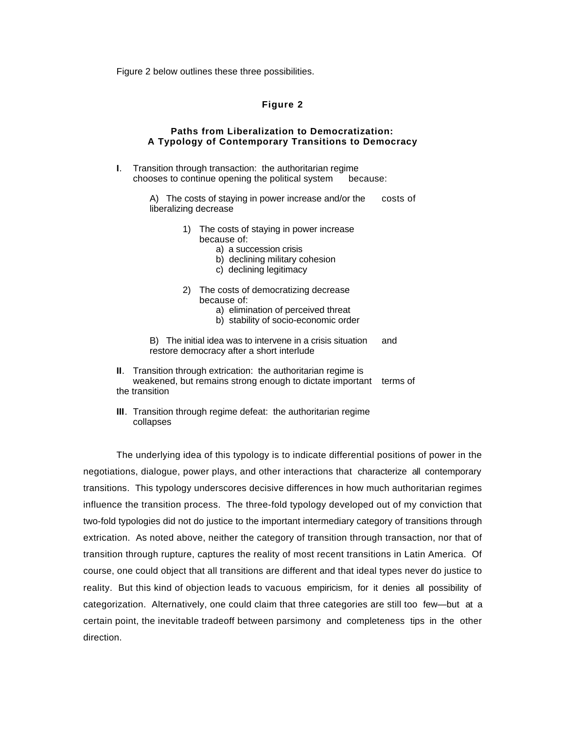Figure 2 below outlines these three possibilities.

# **Figure 2**

## **Paths from Liberalization to Democratization: A Typology of Contemporary Transitions to Democracy**

**I**. Transition through transaction: the authoritarian regime chooses to continue opening the political system because:

> A) The costs of staying in power increase and/or the costs of liberalizing decrease

- 1) The costs of staying in power increase because of:
	- a) a succession crisis
	- b) declining military cohesion
	- c) declining legitimacy
- 2) The costs of democratizing decrease because of:
	- a) elimination of perceived threat
	- b) stability of socio-economic order

B) The initial idea was to intervene in a crisis situation and restore democracy after a short interlude

- **II**. Transition through extrication: the authoritarian regime is weakened, but remains strong enough to dictate important terms of the transition
- **III**. Transition through regime defeat: the authoritarian regime collapses

The underlying idea of this typology is to indicate differential positions of power in the negotiations, dialogue, power plays, and other interactions that characterize all contemporary transitions. This typology underscores decisive differences in how much authoritarian regimes influence the transition process. The three-fold typology developed out of my conviction that two-fold typologies did not do justice to the important intermediary category of transitions through extrication. As noted above, neither the category of transition through transaction, nor that of transition through rupture, captures the reality of most recent transitions in Latin America. Of course, one could object that all transitions are different and that ideal types never do justice to reality. But this kind of objection leads to vacuous empiricism, for it denies all possibility of categorization. Alternatively, one could claim that three categories are still too few—but at a certain point, the inevitable tradeoff between parsimony and completeness tips in the other direction.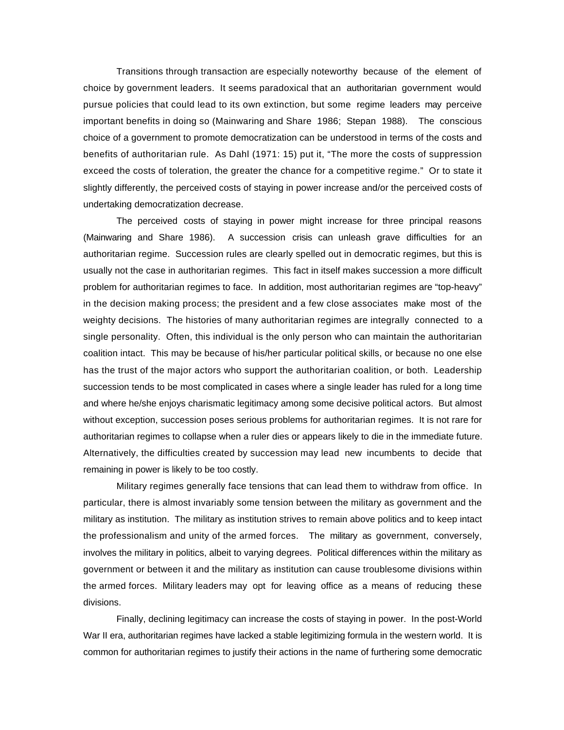Transitions through transaction are especially noteworthy because of the element of choice by government leaders. It seems paradoxical that an authoritarian government would pursue policies that could lead to its own extinction, but some regime leaders may perceive important benefits in doing so (Mainwaring and Share 1986; Stepan 1988). The conscious choice of a government to promote democratization can be understood in terms of the costs and benefits of authoritarian rule. As Dahl (1971: 15) put it, "The more the costs of suppression exceed the costs of toleration, the greater the chance for a competitive regime." Or to state it slightly differently, the perceived costs of staying in power increase and/or the perceived costs of undertaking democratization decrease.

The perceived costs of staying in power might increase for three principal reasons (Mainwaring and Share 1986). A succession crisis can unleash grave difficulties for an authoritarian regime. Succession rules are clearly spelled out in democratic regimes, but this is usually not the case in authoritarian regimes. This fact in itself makes succession a more difficult problem for authoritarian regimes to face. In addition, most authoritarian regimes are "top-heavy" in the decision making process; the president and a few close associates make most of the weighty decisions. The histories of many authoritarian regimes are integrally connected to a single personality. Often, this individual is the only person who can maintain the authoritarian coalition intact. This may be because of his/her particular political skills, or because no one else has the trust of the major actors who support the authoritarian coalition, or both. Leadership succession tends to be most complicated in cases where a single leader has ruled for a long time and where he/she enjoys charismatic legitimacy among some decisive political actors. But almost without exception, succession poses serious problems for authoritarian regimes. It is not rare for authoritarian regimes to collapse when a ruler dies or appears likely to die in the immediate future. Alternatively, the difficulties created by succession may lead new incumbents to decide that remaining in power is likely to be too costly.

Military regimes generally face tensions that can lead them to withdraw from office. In particular, there is almost invariably some tension between the military as government and the military as institution. The military as institution strives to remain above politics and to keep intact the professionalism and unity of the armed forces. The military as government, conversely, involves the military in politics, albeit to varying degrees. Political differences within the military as government or between it and the military as institution can cause troublesome divisions within the armed forces. Military leaders may opt for leaving office as a means of reducing these divisions.

Finally, declining legitimacy can increase the costs of staying in power. In the post-World War II era, authoritarian regimes have lacked a stable legitimizing formula in the western world. It is common for authoritarian regimes to justify their actions in the name of furthering some democratic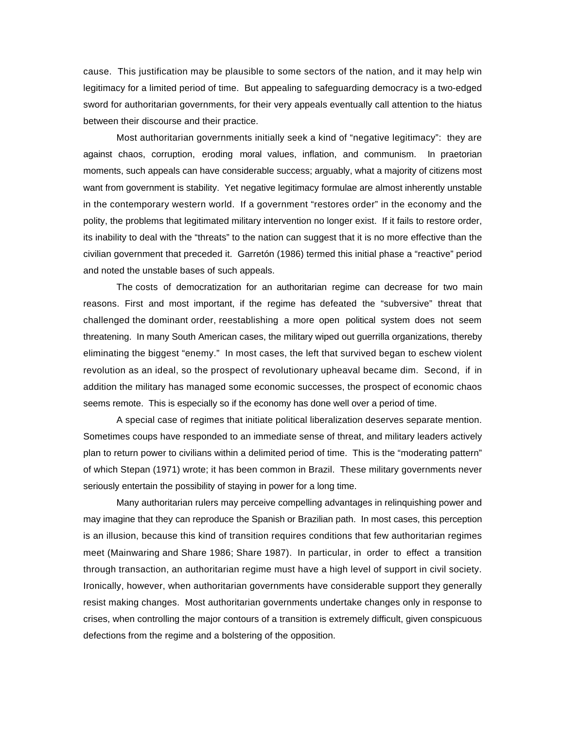cause. This justification may be plausible to some sectors of the nation, and it may help win legitimacy for a limited period of time. But appealing to safeguarding democracy is a two-edged sword for authoritarian governments, for their very appeals eventually call attention to the hiatus between their discourse and their practice.

Most authoritarian governments initially seek a kind of "negative legitimacy": they are against chaos, corruption, eroding moral values, inflation, and communism. In praetorian moments, such appeals can have considerable success; arguably, what a majority of citizens most want from government is stability. Yet negative legitimacy formulae are almost inherently unstable in the contemporary western world. If a government "restores order" in the economy and the polity, the problems that legitimated military intervention no longer exist. If it fails to restore order, its inability to deal with the "threats" to the nation can suggest that it is no more effective than the civilian government that preceded it. Garretón (1986) termed this initial phase a "reactive" period and noted the unstable bases of such appeals.

The costs of democratization for an authoritarian regime can decrease for two main reasons. First and most important, if the regime has defeated the "subversive" threat that challenged the dominant order, reestablishing a more open political system does not seem threatening. In many South American cases, the military wiped out guerrilla organizations, thereby eliminating the biggest "enemy." In most cases, the left that survived began to eschew violent revolution as an ideal, so the prospect of revolutionary upheaval became dim. Second, if in addition the military has managed some economic successes, the prospect of economic chaos seems remote. This is especially so if the economy has done well over a period of time.

A special case of regimes that initiate political liberalization deserves separate mention. Sometimes coups have responded to an immediate sense of threat, and military leaders actively plan to return power to civilians within a delimited period of time. This is the "moderating pattern" of which Stepan (1971) wrote; it has been common in Brazil. These military governments never seriously entertain the possibility of staying in power for a long time.

Many authoritarian rulers may perceive compelling advantages in relinquishing power and may imagine that they can reproduce the Spanish or Brazilian path. In most cases, this perception is an illusion, because this kind of transition requires conditions that few authoritarian regimes meet (Mainwaring and Share 1986; Share 1987). In particular, in order to effect a transition through transaction, an authoritarian regime must have a high level of support in civil society. Ironically, however, when authoritarian governments have considerable support they generally resist making changes. Most authoritarian governments undertake changes only in response to crises, when controlling the major contours of a transition is extremely difficult, given conspicuous defections from the regime and a bolstering of the opposition.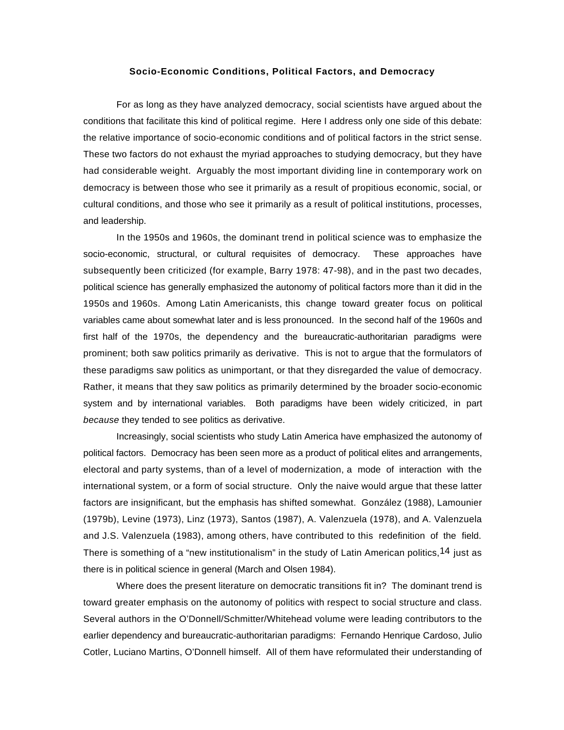### **Socio-Economic Conditions, Political Factors, and Democracy**

For as long as they have analyzed democracy, social scientists have argued about the conditions that facilitate this kind of political regime. Here I address only one side of this debate: the relative importance of socio-economic conditions and of political factors in the strict sense. These two factors do not exhaust the myriad approaches to studying democracy, but they have had considerable weight. Arguably the most important dividing line in contemporary work on democracy is between those who see it primarily as a result of propitious economic, social, or cultural conditions, and those who see it primarily as a result of political institutions, processes, and leadership.

In the 1950s and 1960s, the dominant trend in political science was to emphasize the socio-economic, structural, or cultural requisites of democracy. These approaches have subsequently been criticized (for example, Barry 1978: 47-98), and in the past two decades, political science has generally emphasized the autonomy of political factors more than it did in the 1950s and 1960s. Among Latin Americanists, this change toward greater focus on political variables came about somewhat later and is less pronounced. In the second half of the 1960s and first half of the 1970s, the dependency and the bureaucratic-authoritarian paradigms were prominent; both saw politics primarily as derivative. This is not to argue that the formulators of these paradigms saw politics as unimportant, or that they disregarded the value of democracy. Rather, it means that they saw politics as primarily determined by the broader socio-economic system and by international variables. Both paradigms have been widely criticized, in part *because* they tended to see politics as derivative.

Increasingly, social scientists who study Latin America have emphasized the autonomy of political factors. Democracy has been seen more as a product of political elites and arrangements, electoral and party systems, than of a level of modernization, a mode of interaction with the international system, or a form of social structure. Only the naive would argue that these latter factors are insignificant, but the emphasis has shifted somewhat. González (1988), Lamounier (1979b), Levine (1973), Linz (1973), Santos (1987), A. Valenzuela (1978), and A. Valenzuela and J.S. Valenzuela (1983), among others, have contributed to this redefinition of the field. There is something of a "new institutionalism" in the study of Latin American politics, <sup>14</sup> just as there is in political science in general (March and Olsen 1984).

Where does the present literature on democratic transitions fit in? The dominant trend is toward greater emphasis on the autonomy of politics with respect to social structure and class. Several authors in the O'Donnell/Schmitter/Whitehead volume were leading contributors to the earlier dependency and bureaucratic-authoritarian paradigms: Fernando Henrique Cardoso, Julio Cotler, Luciano Martins, O'Donnell himself. All of them have reformulated their understanding of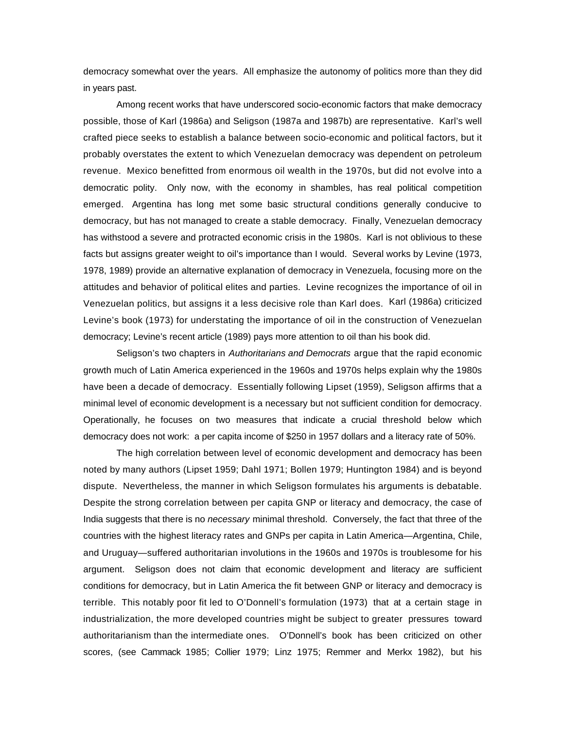democracy somewhat over the years. All emphasize the autonomy of politics more than they did in years past.

Among recent works that have underscored socio-economic factors that make democracy possible, those of Karl (1986a) and Seligson (1987a and 1987b) are representative. Karl's well crafted piece seeks to establish a balance between socio-economic and political factors, but it probably overstates the extent to which Venezuelan democracy was dependent on petroleum revenue. Mexico benefitted from enormous oil wealth in the 1970s, but did not evolve into a democratic polity. Only now, with the economy in shambles, has real political competition emerged. Argentina has long met some basic structural conditions generally conducive to democracy, but has not managed to create a stable democracy. Finally, Venezuelan democracy has withstood a severe and protracted economic crisis in the 1980s. Karl is not oblivious to these facts but assigns greater weight to oil's importance than I would. Several works by Levine (1973, 1978, 1989) provide an alternative explanation of democracy in Venezuela, focusing more on the attitudes and behavior of political elites and parties. Levine recognizes the importance of oil in Venezuelan politics, but assigns it a less decisive role than Karl does. Karl (1986a) criticized Levine's book (1973) for understating the importance of oil in the construction of Venezuelan democracy; Levine's recent article (1989) pays more attention to oil than his book did.

Seligson's two chapters in *Authoritarians and Democrats* argue that the rapid economic growth much of Latin America experienced in the 1960s and 1970s helps explain why the 1980s have been a decade of democracy. Essentially following Lipset (1959), Seligson affirms that a minimal level of economic development is a necessary but not sufficient condition for democracy. Operationally, he focuses on two measures that indicate a crucial threshold below which democracy does not work: a per capita income of \$250 in 1957 dollars and a literacy rate of 50%.

The high correlation between level of economic development and democracy has been noted by many authors (Lipset 1959; Dahl 1971; Bollen 1979; Huntington 1984) and is beyond dispute. Nevertheless, the manner in which Seligson formulates his arguments is debatable. Despite the strong correlation between per capita GNP or literacy and democracy, the case of India suggests that there is no *necessary* minimal threshold. Conversely, the fact that three of the countries with the highest literacy rates and GNPs per capita in Latin America—Argentina, Chile, and Uruguay—suffered authoritarian involutions in the 1960s and 1970s is troublesome for his argument. Seligson does not claim that economic development and literacy are sufficient conditions for democracy, but in Latin America the fit between GNP or literacy and democracy is terrible. This notably poor fit led to O'Donnell's formulation (1973) that at a certain stage in industrialization, the more developed countries might be subject to greater pressures toward authoritarianism than the intermediate ones. O'Donnell's book has been criticized on other scores, (see Cammack 1985; Collier 1979; Linz 1975; Remmer and Merkx 1982), but his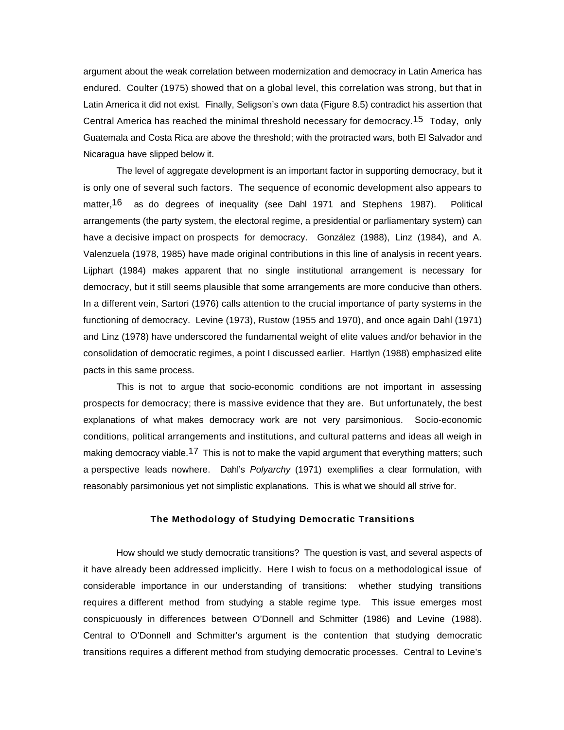argument about the weak correlation between modernization and democracy in Latin America has endured. Coulter (1975) showed that on a global level, this correlation was strong, but that in Latin America it did not exist. Finally, Seligson's own data (Figure 8.5) contradict his assertion that Central America has reached the minimal threshold necessary for democracy.15 Today, only Guatemala and Costa Rica are above the threshold; with the protracted wars, both El Salvador and Nicaragua have slipped below it.

The level of aggregate development is an important factor in supporting democracy, but it is only one of several such factors. The sequence of economic development also appears to matter, 16 as do degrees of inequality (see Dahl 1971 and Stephens 1987). Political arrangements (the party system, the electoral regime, a presidential or parliamentary system) can have a decisive impact on prospects for democracy. González (1988), Linz (1984), and A. Valenzuela (1978, 1985) have made original contributions in this line of analysis in recent years. Lijphart (1984) makes apparent that no single institutional arrangement is necessary for democracy, but it still seems plausible that some arrangements are more conducive than others. In a different vein, Sartori (1976) calls attention to the crucial importance of party systems in the functioning of democracy. Levine (1973), Rustow (1955 and 1970), and once again Dahl (1971) and Linz (1978) have underscored the fundamental weight of elite values and/or behavior in the consolidation of democratic regimes, a point I discussed earlier. Hartlyn (1988) emphasized elite pacts in this same process.

This is not to argue that socio-economic conditions are not important in assessing prospects for democracy; there is massive evidence that they are. But unfortunately, the best explanations of what makes democracy work are not very parsimonious. Socio-economic conditions, political arrangements and institutions, and cultural patterns and ideas all weigh in making democracy viable.<sup>17</sup> This is not to make the vapid argument that everything matters; such a perspective leads nowhere. Dahl's *Polyarchy* (1971) exemplifies a clear formulation, with reasonably parsimonious yet not simplistic explanations. This is what we should all strive for.

# **The Methodology of Studying Democratic Transitions**

How should we study democratic transitions? The question is vast, and several aspects of it have already been addressed implicitly. Here I wish to focus on a methodological issue of considerable importance in our understanding of transitions: whether studying transitions requires a different method from studying a stable regime type. This issue emerges most conspicuously in differences between O'Donnell and Schmitter (1986) and Levine (1988). Central to O'Donnell and Schmitter's argument is the contention that studying democratic transitions requires a different method from studying democratic processes. Central to Levine's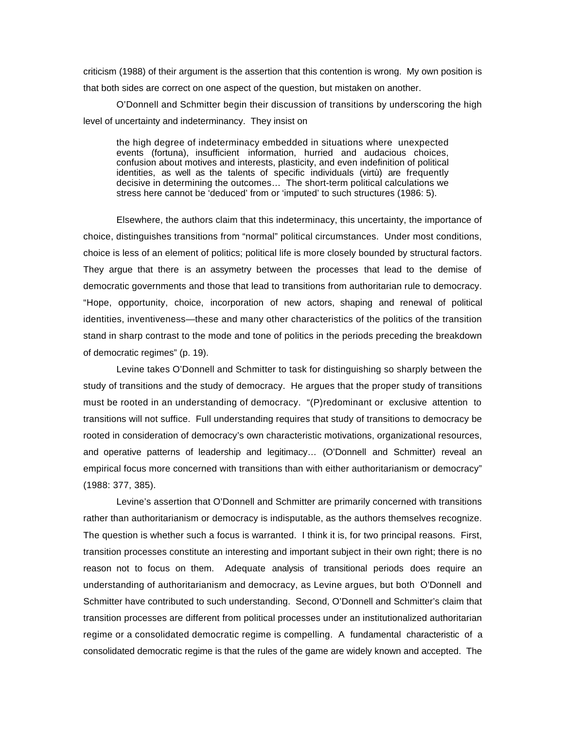criticism (1988) of their argument is the assertion that this contention is wrong. My own position is that both sides are correct on one aspect of the question, but mistaken on another.

O'Donnell and Schmitter begin their discussion of transitions by underscoring the high level of uncertainty and indeterminancy. They insist on

the high degree of indeterminacy embedded in situations where unexpected events (fortuna), insufficient information, hurried and audacious choices, confusion about motives and interests, plasticity, and even indefinition of political identities, as well as the talents of specific individuals (virtù) are frequently decisive in determining the outcomes… The short-term political calculations we stress here cannot be 'deduced' from or 'imputed' to such structures (1986: 5).

Elsewhere, the authors claim that this indeterminacy, this uncertainty, the importance of choice, distinguishes transitions from "normal" political circumstances. Under most conditions, choice is less of an element of politics; political life is more closely bounded by structural factors. They argue that there is an assymetry between the processes that lead to the demise of democratic governments and those that lead to transitions from authoritarian rule to democracy. "Hope, opportunity, choice, incorporation of new actors, shaping and renewal of political identities, inventiveness—these and many other characteristics of the politics of the transition stand in sharp contrast to the mode and tone of politics in the periods preceding the breakdown of democratic regimes" (p. 19).

Levine takes O'Donnell and Schmitter to task for distinguishing so sharply between the study of transitions and the study of democracy. He argues that the proper study of transitions must be rooted in an understanding of democracy. "(P)redominant or exclusive attention to transitions will not suffice. Full understanding requires that study of transitions to democracy be rooted in consideration of democracy's own characteristic motivations, organizational resources, and operative patterns of leadership and legitimacy… (O'Donnell and Schmitter) reveal an empirical focus more concerned with transitions than with either authoritarianism or democracy" (1988: 377, 385).

Levine's assertion that O'Donnell and Schmitter are primarily concerned with transitions rather than authoritarianism or democracy is indisputable, as the authors themselves recognize. The question is whether such a focus is warranted. I think it is, for two principal reasons. First, transition processes constitute an interesting and important subject in their own right; there is no reason not to focus on them. Adequate analysis of transitional periods does require an understanding of authoritarianism and democracy, as Levine argues, but both O'Donnell and Schmitter have contributed to such understanding. Second, O'Donnell and Schmitter's claim that transition processes are different from political processes under an institutionalized authoritarian regime or a consolidated democratic regime is compelling. A fundamental characteristic of a consolidated democratic regime is that the rules of the game are widely known and accepted. The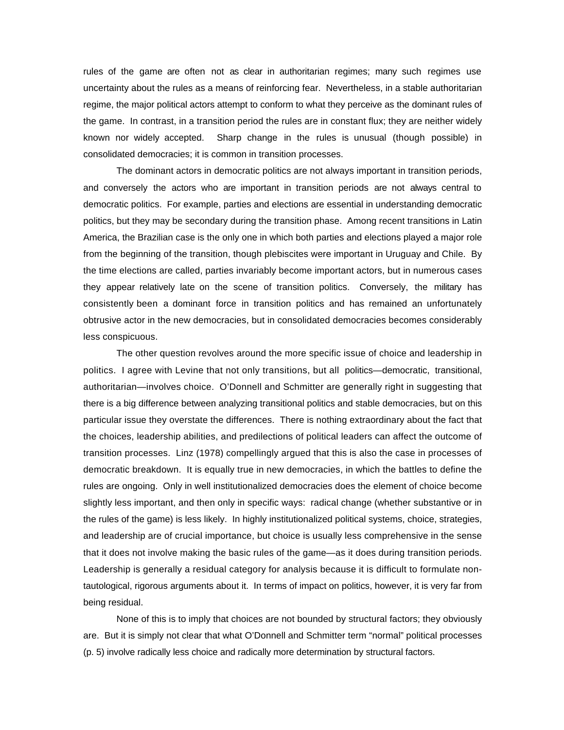rules of the game are often not as clear in authoritarian regimes; many such regimes use uncertainty about the rules as a means of reinforcing fear. Nevertheless, in a stable authoritarian regime, the major political actors attempt to conform to what they perceive as the dominant rules of the game. In contrast, in a transition period the rules are in constant flux; they are neither widely known nor widely accepted. Sharp change in the rules is unusual (though possible) in consolidated democracies; it is common in transition processes.

The dominant actors in democratic politics are not always important in transition periods, and conversely the actors who are important in transition periods are not always central to democratic politics. For example, parties and elections are essential in understanding democratic politics, but they may be secondary during the transition phase. Among recent transitions in Latin America, the Brazilian case is the only one in which both parties and elections played a major role from the beginning of the transition, though plebiscites were important in Uruguay and Chile. By the time elections are called, parties invariably become important actors, but in numerous cases they appear relatively late on the scene of transition politics. Conversely, the military has consistently been a dominant force in transition politics and has remained an unfortunately obtrusive actor in the new democracies, but in consolidated democracies becomes considerably less conspicuous.

The other question revolves around the more specific issue of choice and leadership in politics. I agree with Levine that not only transitions, but all politics—democratic, transitional, authoritarian—involves choice. O'Donnell and Schmitter are generally right in suggesting that there is a big difference between analyzing transitional politics and stable democracies, but on this particular issue they overstate the differences. There is nothing extraordinary about the fact that the choices, leadership abilities, and predilections of political leaders can affect the outcome of transition processes. Linz (1978) compellingly argued that this is also the case in processes of democratic breakdown. It is equally true in new democracies, in which the battles to define the rules are ongoing. Only in well institutionalized democracies does the element of choice become slightly less important, and then only in specific ways: radical change (whether substantive or in the rules of the game) is less likely. In highly institutionalized political systems, choice, strategies, and leadership are of crucial importance, but choice is usually less comprehensive in the sense that it does not involve making the basic rules of the game—as it does during transition periods. Leadership is generally a residual category for analysis because it is difficult to formulate nontautological, rigorous arguments about it. In terms of impact on politics, however, it is very far from being residual.

None of this is to imply that choices are not bounded by structural factors; they obviously are. But it is simply not clear that what O'Donnell and Schmitter term "normal" political processes (p. 5) involve radically less choice and radically more determination by structural factors.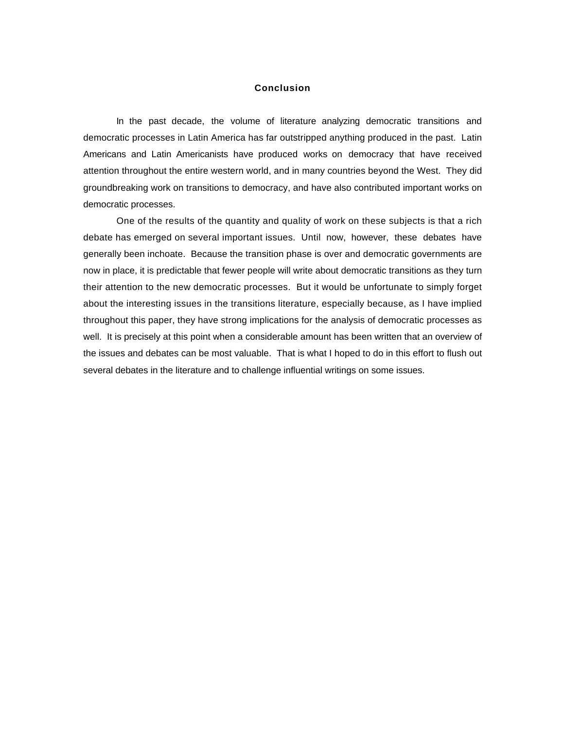#### **Conclusion**

In the past decade, the volume of literature analyzing democratic transitions and democratic processes in Latin America has far outstripped anything produced in the past. Latin Americans and Latin Americanists have produced works on democracy that have received attention throughout the entire western world, and in many countries beyond the West. They did groundbreaking work on transitions to democracy, and have also contributed important works on democratic processes.

One of the results of the quantity and quality of work on these subjects is that a rich debate has emerged on several important issues. Until now, however, these debates have generally been inchoate. Because the transition phase is over and democratic governments are now in place, it is predictable that fewer people will write about democratic transitions as they turn their attention to the new democratic processes. But it would be unfortunate to simply forget about the interesting issues in the transitions literature, especially because, as I have implied throughout this paper, they have strong implications for the analysis of democratic processes as well. It is precisely at this point when a considerable amount has been written that an overview of the issues and debates can be most valuable. That is what I hoped to do in this effort to flush out several debates in the literature and to challenge influential writings on some issues.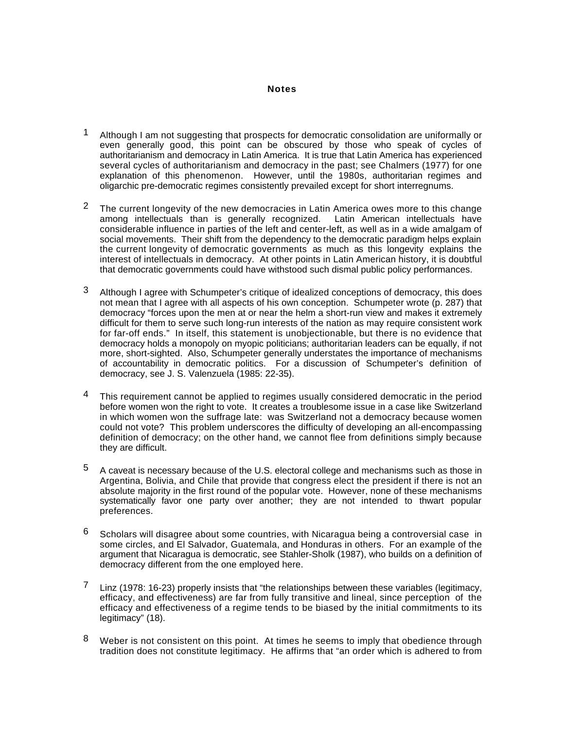## **Notes**

- 1 Although I am not suggesting that prospects for democratic consolidation are uniformally or even generally good, this point can be obscured by those who speak of cycles of authoritarianism and democracy in Latin America. It is true that Latin America has experienced several cycles of authoritarianism and democracy in the past; see Chalmers (1977) for one explanation of this phenomenon. However, until the 1980s, authoritarian regimes and oligarchic pre-democratic regimes consistently prevailed except for short interregnums.
- <sup>2</sup> The current longevity of the new democracies in Latin America owes more to this change<br>among intellectuals than is generally recognized. Latin American intellectuals have among intellectuals than is generally recognized. considerable influence in parties of the left and center-left, as well as in a wide amalgam of social movements. Their shift from the dependency to the democratic paradigm helps explain the current longevity of democratic governments as much as this longevity explains the interest of intellectuals in democracy. At other points in Latin American history, it is doubtful that democratic governments could have withstood such dismal public policy performances.
- $3$  Although I agree with Schumpeter's critique of idealized conceptions of democracy, this does not mean that I agree with all aspects of his own conception. Schumpeter wrote (p. 287) that democracy "forces upon the men at or near the helm a short-run view and makes it extremely difficult for them to serve such long-run interests of the nation as may require consistent work for far-off ends." In itself, this statement is unobjectionable, but there is no evidence that democracy holds a monopoly on myopic politicians; authoritarian leaders can be equally, if not more, short-sighted. Also, Schumpeter generally understates the importance of mechanisms of accountability in democratic politics. For a discussion of Schumpeter's definition of democracy, see J. S. Valenzuela (1985: 22-35).
- $4$  This requirement cannot be applied to regimes usually considered democratic in the period before women won the right to vote. It creates a troublesome issue in a case like Switzerland in which women won the suffrage late: was Switzerland not a democracy because women could not vote? This problem underscores the difficulty of developing an all-encompassing definition of democracy; on the other hand, we cannot flee from definitions simply because they are difficult.
- $5$  A caveat is necessary because of the U.S. electoral college and mechanisms such as those in Argentina, Bolivia, and Chile that provide that congress elect the president if there is not an absolute majority in the first round of the popular vote. However, none of these mechanisms systematically favor one party over another; they are not intended to thwart popular preferences.
- $6$  Scholars will disagree about some countries, with Nicaragua being a controversial case in some circles, and El Salvador, Guatemala, and Honduras in others. For an example of the argument that Nicaragua is democratic, see Stahler-Sholk (1987), who builds on a definition of democracy different from the one employed here.
- <sup>7</sup> Linz (1978: 16-23) properly insists that "the relationships between these variables (legitimacy, efficacy, and effectiveness) are far from fully transitive and lineal, since perception of the efficacy and effectiveness of a regime tends to be biased by the initial commitments to its legitimacy" (18).
- $8$  Weber is not consistent on this point. At times he seems to imply that obedience through tradition does not constitute legitimacy. He affirms that "an order which is adhered to from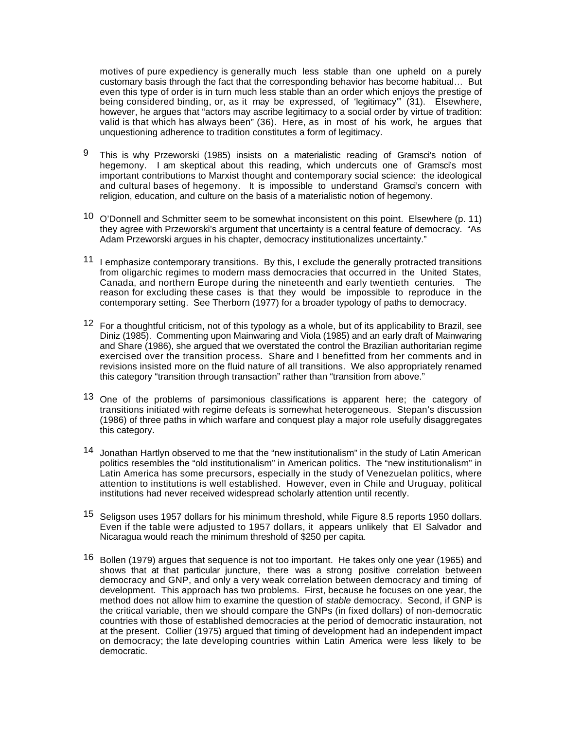motives of pure expediency is generally much less stable than one upheld on a purely customary basis through the fact that the corresponding behavior has become habitual… But even this type of order is in turn much less stable than an order which enjoys the prestige of being considered binding, or, as it may be expressed, of 'legitimacy'" (31). Elsewhere, however, he argues that "actors may ascribe legitimacy to a social order by virtue of tradition: valid is that which has always been" (36). Here, as in most of his work, he argues that unquestioning adherence to tradition constitutes a form of legitimacy.

- 9 This is why Przeworski (1985) insists on a materialistic reading of Gramsci's notion of hegemony. I am skeptical about this reading, which undercuts one of Gramsci's most important contributions to Marxist thought and contemporary social science: the ideological and cultural bases of hegemony. It is impossible to understand Gramsci's concern with religion, education, and culture on the basis of a materialistic notion of hegemony.
- 10 O'Donnell and Schmitter seem to be somewhat inconsistent on this point. Elsewhere (p. 11) they agree with Przeworski's argument that uncertainty is a central feature of democracy. "As Adam Przeworski argues in his chapter, democracy institutionalizes uncertainty."
- 11 I emphasize contemporary transitions. By this, I exclude the generally protracted transitions from oligarchic regimes to modern mass democracies that occurred in the United States, Canada, and northern Europe during the nineteenth and early twentieth centuries. The reason for excluding these cases is that they would be impossible to reproduce in the contemporary setting. See Therborn (1977) for a broader typology of paths to democracy.
- <sup>12</sup> For a thoughtful criticism, not of this typology as a whole, but of its applicability to Brazil, see Diniz (1985). Commenting upon Mainwaring and Viola (1985) and an early draft of Mainwaring and Share (1986), she argued that we overstated the control the Brazilian authoritarian regime exercised over the transition process. Share and I benefitted from her comments and in revisions insisted more on the fluid nature of all transitions. We also appropriately renamed this category "transition through transaction" rather than "transition from above."
- <sup>13</sup> One of the problems of parsimonious classifications is apparent here; the category of transitions initiated with regime defeats is somewhat heterogeneous. Stepan's discussion (1986) of three paths in which warfare and conquest play a major role usefully disaggregates this category.
- 14 Jonathan Hartlyn observed to me that the "new institutionalism" in the study of Latin American politics resembles the "old institutionalism" in American politics. The "new institutionalism" in Latin America has some precursors, especially in the study of Venezuelan politics, where attention to institutions is well established. However, even in Chile and Uruguay, political institutions had never received widespread scholarly attention until recently.
- 15 Seligson uses 1957 dollars for his minimum threshold, while Figure 8.5 reports 1950 dollars. Even if the table were adjusted to 1957 dollars, it appears unlikely that El Salvador and Nicaragua would reach the minimum threshold of \$250 per capita.
- <sup>16</sup> Bollen (1979) argues that sequence is not too important. He takes only one year (1965) and shows that at that particular juncture, there was a strong positive correlation between democracy and GNP, and only a very weak correlation between democracy and timing of development. This approach has two problems. First, because he focuses on one year, the method does not allow him to examine the question of *stable* democracy. Second, if GNP is the critical variable, then we should compare the GNPs (in fixed dollars) of non-democratic countries with those of established democracies at the period of democratic instauration, not at the present. Collier (1975) argued that timing of development had an independent impact on democracy; the late developing countries within Latin America were less likely to be democratic.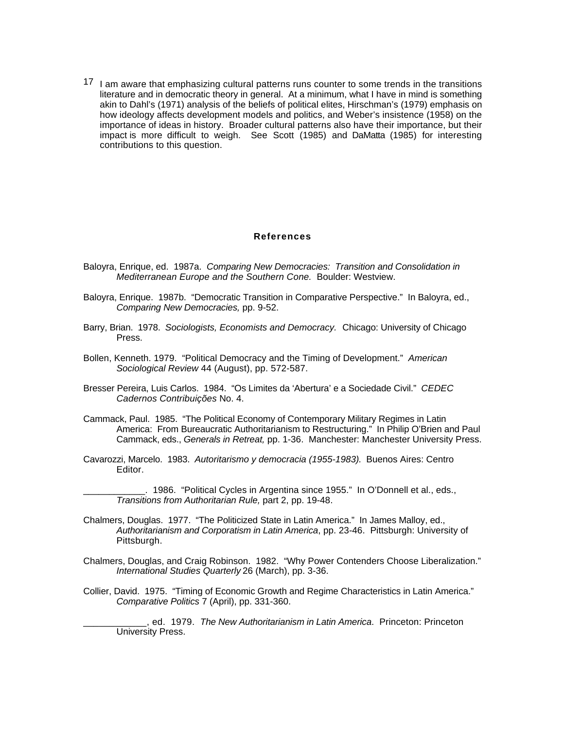17 I am aware that emphasizing cultural patterns runs counter to some trends in the transitions literature and in democratic theory in general. At a minimum, what I have in mind is something akin to Dahl's (1971) analysis of the beliefs of political elites, Hirschman's (1979) emphasis on how ideology affects development models and politics, and Weber's insistence (1958) on the importance of ideas in history. Broader cultural patterns also have their importance, but their impact is more difficult to weigh. See Scott (1985) and DaMatta (1985) for interesting contributions to this question.

#### **References**

- Baloyra, Enrique, ed. 1987a. *Comparing New Democracies: Transition and Consolidation in Mediterranean Europe and the Southern Cone.* Boulder: Westview.
- Baloyra, Enrique. 1987b. "Democratic Transition in Comparative Perspective." In Baloyra, ed., *Comparing New Democracies,* pp. 9-52.
- Barry, Brian. 1978. *Sociologists, Economists and Democracy.* Chicago: University of Chicago Press.
- Bollen, Kenneth. 1979. "Political Democracy and the Timing of Development." *American Sociological Review* 44 (August), pp. 572-587.
- Bresser Pereira, Luis Carlos. 1984. "Os Limites da 'Abertura' e a Sociedade Civil." *CEDEC Cadernos Contribuições* No. 4.
- Cammack, Paul. 1985. "The Political Economy of Contemporary Military Regimes in Latin America: From Bureaucratic Authoritarianism to Restructuring." In Philip O'Brien and Paul Cammack, eds., *Generals in Retreat,* pp. 1-36. Manchester: Manchester University Press.
- Cavarozzi, Marcelo. 1983. *Autoritarismo y democracia (1955-1983)*. Buenos Aires: Centro Editor.
	- . 1986. "Political Cycles in Argentina since 1955." In O'Donnell et al., eds., *Transitions from Authoritarian Rule,* part 2, pp. 19-48.
- Chalmers, Douglas. 1977. "The Politicized State in Latin America." In James Malloy, ed., *Authoritarianism and Corporatism in Latin America*, pp. 23-46. Pittsburgh: University of Pittsburgh.
- Chalmers, Douglas, and Craig Robinson. 1982. "Why Power Contenders Choose Liberalization." *International Studies Quarterly* 26 (March), pp. 3-36.
- Collier, David. 1975. "Timing of Economic Growth and Regime Characteristics in Latin America." *Comparative Politics* 7 (April), pp. 331-360.

\_\_\_\_\_\_\_\_\_\_\_\_, ed. 1979. *The New Authoritarianism in Latin America*. Princeton: Princeton University Press.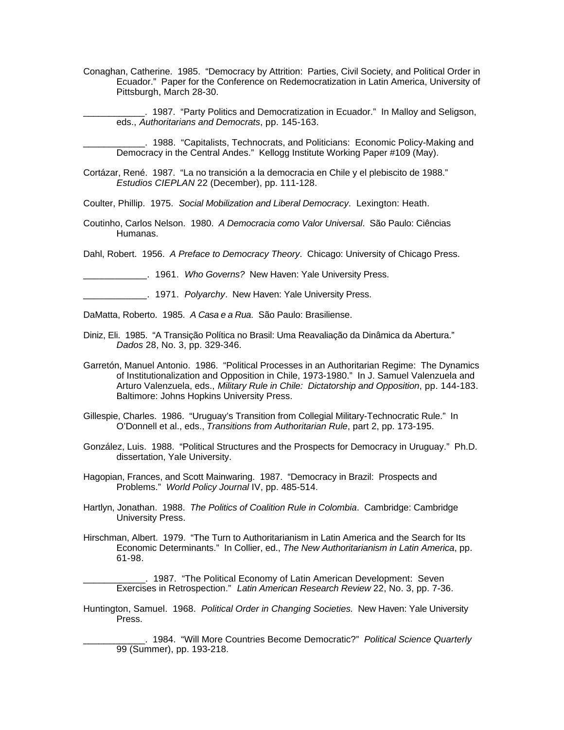Conaghan, Catherine. 1985. "Democracy by Attrition: Parties, Civil Society, and Political Order in Ecuador." Paper for the Conference on Redemocratization in Latin America, University of Pittsburgh, March 28-30.

\_\_\_\_\_\_\_\_\_\_\_\_. 1987. "Party Politics and Democratization in Ecuador." In Malloy and Seligson, eds., *Authoritarians and Democrats*, pp. 145-163.

\_\_\_\_\_\_\_\_\_\_\_\_. 1988. "Capitalists, Technocrats, and Politicians: Economic Policy-Making and Democracy in the Central Andes." Kellogg Institute Working Paper #109 (May).

Cortázar, René. 1987. "La no transición a la democracia en Chile y el plebiscito de 1988." *Estudios CIEPLAN* 22 (December), pp. 111-128.

Coulter, Phillip. 1975. *Social Mobilization and Liberal Democracy*. Lexington: Heath.

Coutinho, Carlos Nelson. 1980. *A Democracia como Valor Universal*. São Paulo: Ciências Humanas.

Dahl, Robert. 1956. *A Preface to Democracy Theory*. Chicago: University of Chicago Press.

\_\_\_\_\_\_\_\_\_\_\_\_. 1961. *Who Governs?* New Haven: Yale University Press.

\_\_\_\_\_\_\_\_\_\_\_\_. 1971. *Polyarchy*. New Haven: Yale University Press.

DaMatta, Roberto. 1985. *A Casa e a Rua*. São Paulo: Brasiliense.

- Diniz, Eli. 1985. "A Transição Política no Brasil: Uma Reavaliação da Dinâmica da Abertura." *Dados* 28, No. 3, pp. 329-346.
- Garretón, Manuel Antonio. 1986. "Political Processes in an Authoritarian Regime: The Dynamics of Institutionalization and Opposition in Chile, 1973-1980." In J. Samuel Valenzuela and Arturo Valenzuela, eds., *Military Rule in Chile: Dictatorship and Opposition*, pp. 144-183. Baltimore: Johns Hopkins University Press.
- Gillespie, Charles. 1986. "Uruguay's Transition from Collegial Military-Technocratic Rule." In O'Donnell et al., eds., *Transitions from Authoritarian Rule*, part 2, pp. 173-195.
- González, Luis. 1988. "Political Structures and the Prospects for Democracy in Uruguay." Ph.D. dissertation, Yale University.

Hagopian, Frances, and Scott Mainwaring. 1987. "Democracy in Brazil: Prospects and Problems." *World Policy Journal* IV, pp. 485-514.

- Hartlyn, Jonathan. 1988. *The Politics of Coalition Rule in Colombia*. Cambridge: Cambridge University Press.
- Hirschman, Albert. 1979. "The Turn to Authoritarianism in Latin America and the Search for Its Economic Determinants." In Collier, ed., *The New Authoritarianism in Latin America*, pp. 61-98.

\_\_\_\_\_\_\_\_\_\_\_\_. 1987. "The Political Economy of Latin American Development: Seven Exercises in Retrospection." *Latin American Research Review* 22, No. 3, pp. 7-36.

Huntington, Samuel. 1968. *Political Order in Changing Societies.* New Haven: Yale University Press.

\_\_\_\_\_\_\_\_\_\_\_\_. 1984. "Will More Countries Become Democratic?" *Political Science Quarterly* 99 (Summer), pp. 193-218.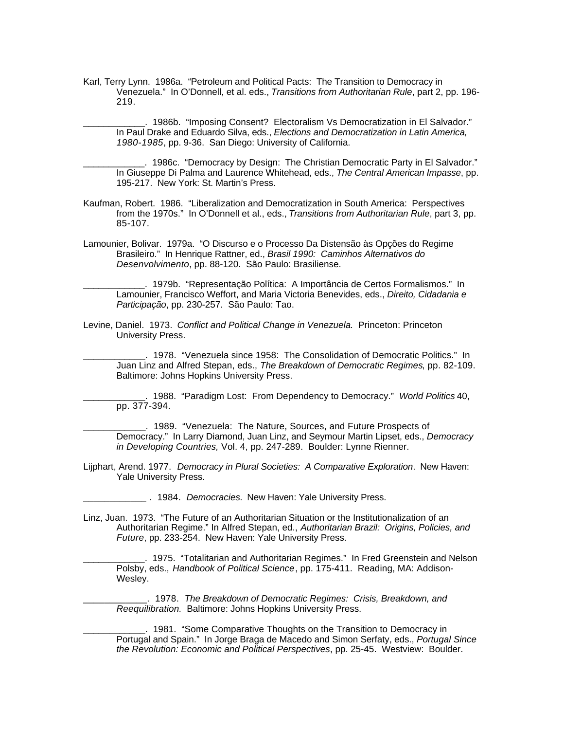Karl, Terry Lynn. 1986a. "Petroleum and Political Pacts: The Transition to Democracy in Venezuela." In O'Donnell, et al. eds., *Transitions from Authoritarian Rule*, part 2, pp. 196- 219.

\_\_\_\_\_\_\_\_\_\_\_\_. 1986b. "Imposing Consent? Electoralism Vs Democratization in El Salvador." In Paul Drake and Eduardo Silva, eds., *Elections and Democratization in Latin America, 1980-1985*, pp. 9-36. San Diego: University of California.

\_\_\_\_\_\_\_\_\_\_\_\_. 1986c. "Democracy by Design: The Christian Democratic Party in El Salvador." In Giuseppe Di Palma and Laurence Whitehead, eds., *The Central American Impasse*, pp. 195-217. New York: St. Martin's Press.

- Kaufman, Robert. 1986. "Liberalization and Democratization in South America: Perspectives from the 1970s." In O'Donnell et al., eds., *Transitions from Authoritarian Rule*, part 3, pp. 85-107.
- Lamounier, Bolivar. 1979a. "O Discurso e o Processo Da Distensão às Opções do Regime Brasileiro." In Henrique Rattner, ed., *Brasil 1990: Caminhos Alternativos do Desenvolvimento*, pp. 88-120. São Paulo: Brasiliense.

\_\_\_\_\_\_\_\_\_\_\_\_. 1979b. "Representação Política: A Importância de Certos Formalismos." In Lamounier, Francisco Weffort, and Maria Victoria Benevides, eds., *Direito, Cidadania e Participação*, pp. 230-257. São Paulo: Tao.

Levine, Daniel. 1973. *Conflict and Political Change in Venezuela*. Princeton: Princeton University Press.

\_\_\_\_\_\_\_\_\_\_\_\_. 1978. "Venezuela since 1958: The Consolidation of Democratic Politics." In Juan Linz and Alfred Stepan, eds., *The Breakdown of Democratic Regimes*, pp. 82-109. Baltimore: Johns Hopkins University Press.

\_\_\_\_\_\_\_\_\_\_\_\_. 1988. "Paradigm Lost: From Dependency to Democracy." *World Politics* 40, pp. 377-394.

\_\_\_\_\_\_\_\_\_\_\_\_. 1989. "Venezuela: The Nature, Sources, and Future Prospects of Democracy." In Larry Diamond, Juan Linz, and Seymour Martin Lipset, eds., *Democracy in Developing Countries,* Vol. 4, pp. 247-289. Boulder: Lynne Rienner.

Lijphart, Arend. 1977. *Democracy in Plural Societies: A Comparative Exploration*. New Haven: Yale University Press.

\_\_\_\_\_\_\_\_\_\_\_\_ . 1984. *Democracies*. New Haven: Yale University Press.

Linz, Juan. 1973. "The Future of an Authoritarian Situation or the Institutionalization of an Authoritarian Regime." In Alfred Stepan, ed., *Authoritarian Brazil: Origins, Policies, and Future*, pp. 233-254. New Haven: Yale University Press.

\_\_\_\_\_\_\_\_\_\_\_\_. 1975. "Totalitarian and Authoritarian Regimes." In Fred Greenstein and Nelson Polsby, eds., *Handbook of Political Science*, pp. 175-411. Reading, MA: Addison-Wesley.

\_\_\_\_\_\_\_\_\_\_\_\_. 1978. *The Breakdown of Democratic Regimes: Crisis, Breakdown, and Reequilibration.* Baltimore: Johns Hopkins University Press.

\_\_\_\_\_\_\_\_\_\_\_\_. 1981. "Some Comparative Thoughts on the Transition to Democracy in Portugal and Spain." In Jorge Braga de Macedo and Simon Serfaty, eds., *Portugal Since the Revolution: Economic and Political Perspectives*, pp. 25-45. Westview: Boulder.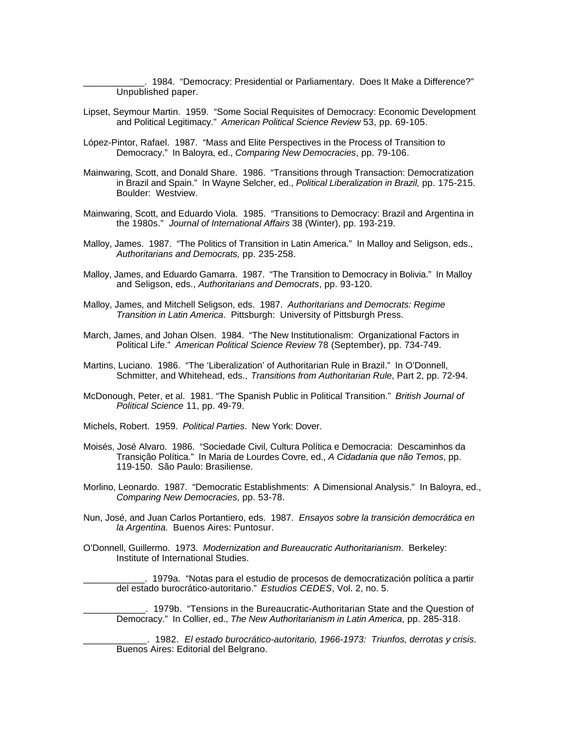1984. "Democracy: Presidential or Parliamentary. Does It Make a Difference?" Unpublished paper.

- Lipset, Seymour Martin. 1959. "Some Social Requisites of Democracy: Economic Development and Political Legitimacy." *American Political Science Review* 53, pp. 69-105.
- López-Pintor, Rafael. 1987. "Mass and Elite Perspectives in the Process of Transition to Democracy." In Baloyra, ed., *Comparing New Democracies*, pp. 79-106.
- Mainwaring, Scott, and Donald Share. 1986. "Transitions through Transaction: Democratization in Brazil and Spain." In Wayne Selcher, ed., *Political Liberalization in Brazil,* pp. 175-215. Boulder: Westview.
- Mainwaring, Scott, and Eduardo Viola. 1985. "Transitions to Democracy: Brazil and Argentina in the 1980s." *Journal of International Affairs* 38 (Winter), pp. 193-219.
- Malloy, James. 1987. "The Politics of Transition in Latin America." In Malloy and Seligson, eds., *Authoritarians and Democrats,* pp. 235-258.
- Malloy, James, and Eduardo Gamarra. 1987. "The Transition to Democracy in Bolivia." In Malloy and Seligson, eds., *Authoritarians and Democrats*, pp. 93-120.
- Malloy, James, and Mitchell Seligson, eds. 1987. *Authoritarians and Democrats: Regime Transition in Latin America*. Pittsburgh: University of Pittsburgh Press.
- March, James, and Johan Olsen. 1984. "The New Institutionalism: Organizational Factors in Political Life." *American Political Science Review* 78 (September), pp. 734-749.
- Martins, Luciano. 1986. "The 'Liberalization' of Authoritarian Rule in Brazil." In O'Donnell, Schmitter, and Whitehead, eds., *Transitions from Authoritarian Rule*, Part 2, pp. 72-94.
- McDonough, Peter, et al. 1981. "The Spanish Public in Political Transition." *British Journal of Political Science* 11, pp. 49-79.
- Michels, Robert. 1959. *Political Parties*. New York: Dover.
- Moisés, José Alvaro. 1986. "Sociedade Civil, Cultura Política e Democracia: Descaminhos da Transição Política." In Maria de Lourdes Covre, ed., *A Cidadania que não Temos*, pp. 119-150. São Paulo: Brasiliense.
- Morlino, Leonardo. 1987. "Democratic Establishments: A Dimensional Analysis." In Baloyra, ed., *Comparing New Democracies*, pp. 53-78.
- Nun, José, and Juan Carlos Portantiero, eds. 1987. *Ensayos sobre la transición democrática en la Argentina*. Buenos Aires: Puntosur.
- O'Donnell, Guillermo. 1973. *Modernization and Bureaucratic Authoritarianism*. Berkeley: Institute of International Studies.

\_\_\_\_\_\_\_\_\_\_\_\_. 1979a. "Notas para el estudio de procesos de democratización política a partir del estado burocrático-autoritario." *Estudios CEDES*, Vol. 2, no. 5.

\_\_\_\_\_\_\_\_\_\_\_\_. 1979b. "Tensions in the Bureaucratic-Authoritarian State and the Question of Democracy." In Collier, ed., *The New Authoritarianism in Latin America*, pp. 285-318.

\_\_\_\_\_\_\_\_\_\_\_\_. 1982. *El estado burocrático-autoritario, 1966-1973: Triunfos, derrotas y crisis*. Buenos Aires: Editorial del Belgrano.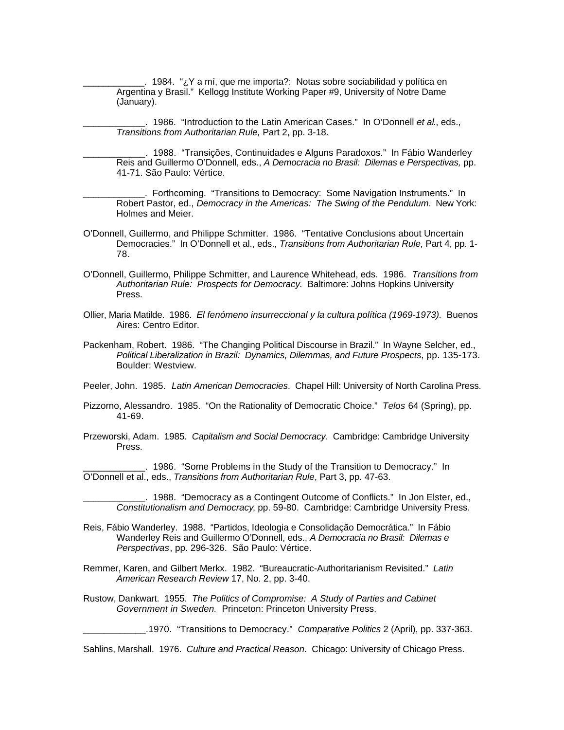\_\_\_\_\_\_\_\_\_\_\_\_. 1984. "¿Y a mí, que me importa?: Notas sobre sociabilidad y política en Argentina y Brasil." Kellogg Institute Working Paper #9, University of Notre Dame (January).

\_\_\_\_\_\_\_\_\_\_\_\_. 1986. "Introduction to the Latin American Cases." In O'Donnell *et al*., eds., *Transitions from Authoritarian Rule,* Part 2, pp. 3-18.

\_\_\_\_\_\_\_\_\_\_\_\_. 1988. "Transições, Continuidades e Alguns Paradoxos." In Fábio Wanderley Reis and Guillermo O'Donnell, eds., *A Democracia no Brasil: Dilemas e Perspectivas,* pp. 41-71. São Paulo: Vértice.

\_\_\_\_\_\_\_\_\_\_\_\_. Forthcoming. "Transitions to Democracy: Some Navigation Instruments." In Robert Pastor, ed., *Democracy in the Americas: The Swing of the Pendulum*. New York: Holmes and Meier.

- O'Donnell, Guillermo, and Philippe Schmitter. 1986. "Tentative Conclusions about Uncertain Democracies." In O'Donnell et al., eds., *Transitions from Authoritarian Rule,* Part 4, pp. 1- 78.
- O'Donnell, Guillermo, Philippe Schmitter, and Laurence Whitehead, eds. 1986. *Transitions from Authoritarian Rule: Prospects for Democracy.* Baltimore: Johns Hopkins University Press.
- Ollier, Maria Matilde. 1986. *El fenómeno insurreccional y la cultura política (1969-1973).* Buenos Aires: Centro Editor.
- Packenham, Robert. 1986. "The Changing Political Discourse in Brazil." In Wayne Selcher, ed., *Political Liberalization in Brazil: Dynamics, Dilemmas, and Future Prospects*, pp. 135-173. Boulder: Westview.

Peeler, John. 1985. *Latin American Democracies*. Chapel Hill: University of North Carolina Press.

- Pizzorno, Alessandro. 1985. "On the Rationality of Democratic Choice." *Telos* 64 (Spring), pp. 41-69.
- Przeworski, Adam. 1985. *Capitalism and Social Democracy*. Cambridge: Cambridge University Press.

\_\_\_\_\_\_\_\_\_\_\_\_. 1986. "Some Problems in the Study of the Transition to Democracy." In O'Donnell et al., eds., *Transitions from Authoritarian Rule*, Part 3, pp. 47-63.

\_\_\_\_\_\_\_\_\_\_\_\_. 1988. "Democracy as a Contingent Outcome of Conflicts." In Jon Elster, ed., *Constitutionalism and Democracy*, pp. 59-80. Cambridge: Cambridge University Press.

- Reis, Fábio Wanderley. 1988. "Partidos, Ideologia e Consolidação Democrática." In Fábio Wanderley Reis and Guillermo O'Donnell, eds., *A Democracia no Brasil: Dilemas e Perspectivas*, pp. 296-326. São Paulo: Vértice.
- Remmer, Karen, and Gilbert Merkx. 1982. "Bureaucratic-Authoritarianism Revisited." *Latin American Research Review* 17, No. 2, pp. 3-40.
- Rustow, Dankwart. 1955. *The Politics of Compromise: A Study of Parties and Cabinet Government in Sweden.* Princeton: Princeton University Press.

\_\_\_\_\_\_\_\_\_\_\_\_.1970. "Transitions to Democracy." *Comparative Politics* 2 (April), pp. 337-363.

Sahlins, Marshall. 1976. *Culture and Practical Reason*. Chicago: University of Chicago Press.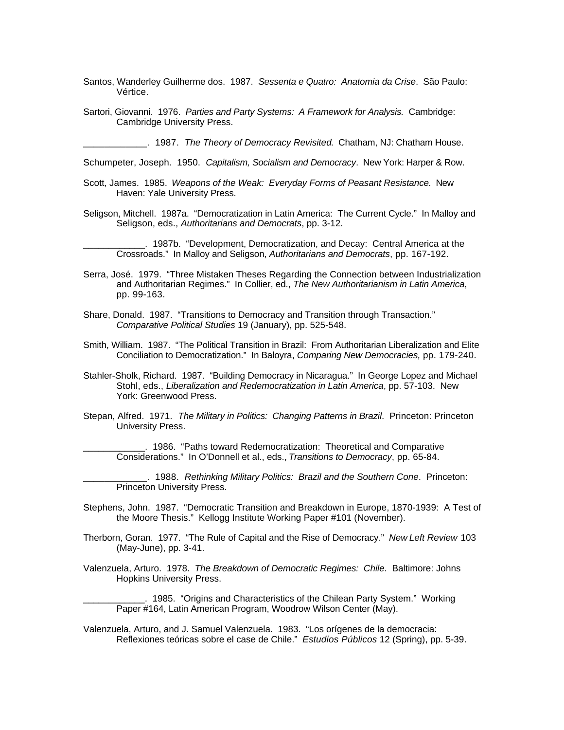- Santos, Wanderley Guilherme dos. 1987. *Sessenta e Quatro: Anatomia da Crise*. São Paulo: Vértice.
- Sartori, Giovanni. 1976. *Parties and Party Systems: A Framework for Analysis.* Cambridge: Cambridge University Press.

\_\_\_\_\_\_\_\_\_\_\_\_. 1987. *The Theory of Democracy Revisited*. Chatham, NJ: Chatham House.

Schumpeter, Joseph. 1950. *Capitalism, Socialism and Democracy*. New York: Harper & Row.

- Scott, James. 1985. *Weapons of the Weak: Everyday Forms of Peasant Resistance.* New Haven: Yale University Press.
- Seligson, Mitchell. 1987a. "Democratization in Latin America: The Current Cycle." In Malloy and Seligson, eds., *Authoritarians and Democrats*, pp. 3-12.

\_\_\_\_\_\_\_\_\_\_\_\_. 1987b. "Development, Democratization, and Decay: Central America at the Crossroads." In Malloy and Seligson, *Authoritarians and Democrats*, pp. 167-192.

- Serra, José. 1979. "Three Mistaken Theses Regarding the Connection between Industrialization and Authoritarian Regimes." In Collier, ed., *The New Authoritarianism in Latin America*, pp. 99-163.
- Share, Donald. 1987. "Transitions to Democracy and Transition through Transaction." *Comparative Political Studies* 19 (January), pp. 525-548.
- Smith, William. 1987. "The Political Transition in Brazil: From Authoritarian Liberalization and Elite Conciliation to Democratization." In Baloyra, *Comparing New Democracies,* pp. 179-240.
- Stahler-Sholk, Richard. 1987. "Building Democracy in Nicaragua." In George Lopez and Michael Stohl, eds., *Liberalization and Redemocratization in Latin America*, pp. 57-103. New York: Greenwood Press.
- Stepan, Alfred. 1971. *The Military in Politics: Changing Patterns in Brazil*. Princeton: Princeton University Press.

. 1986. "Paths toward Redemocratization: Theoretical and Comparative Considerations." In O'Donnell et al., eds., *Transitions to Democracy*, pp. 65-84.

\_\_\_\_\_\_\_\_\_\_\_\_. 1988. *Rethinking Military Politics: Brazil and the Southern Cone*. Princeton: Princeton University Press.

- Stephens, John. 1987. "Democratic Transition and Breakdown in Europe, 1870-1939: A Test of the Moore Thesis." Kellogg Institute Working Paper #101 (November).
- Therborn, Goran. 1977. "The Rule of Capital and the Rise of Democracy." *New Left Review* 103 (May-June), pp. 3-41.
- Valenzuela, Arturo. 1978. *The Breakdown of Democratic Regimes: Chile*. Baltimore: Johns Hopkins University Press.

. 1985. "Origins and Characteristics of the Chilean Party System." Working Paper #164, Latin American Program, Woodrow Wilson Center (May).

Valenzuela, Arturo, and J. Samuel Valenzuela. 1983. "Los orígenes de la democracia: Reflexiones teóricas sobre el case de Chile." *Estudios Públicos* 12 (Spring), pp. 5-39.